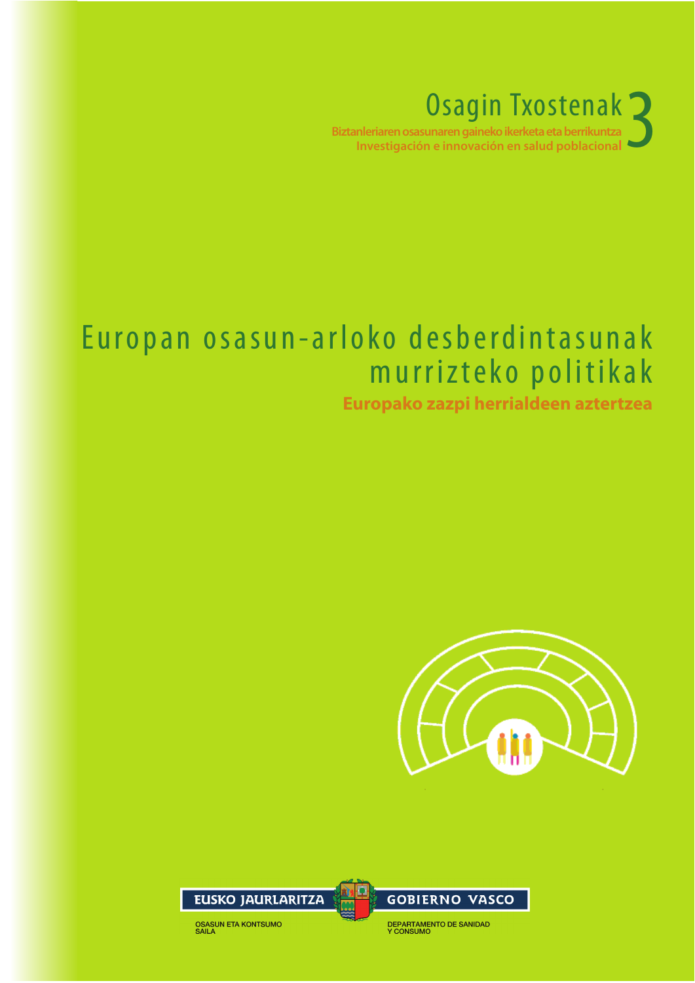Osagin Txostenak<br>
unaren gaineko ikerketa eta berrikuntza<br>
n e innovación en salud poblacional Biztanleriaren osasunaren gaineko ikerketa eta berrikuntza Investigación e innovación en salud poblaciona

### Europan osasun-arloko desberdintasunak murrizteko politikak

#### **Europako zazpi herrialdeen aztertzea**





DEPARTAMENTO DE SANIDAD<br>Y CONSUMO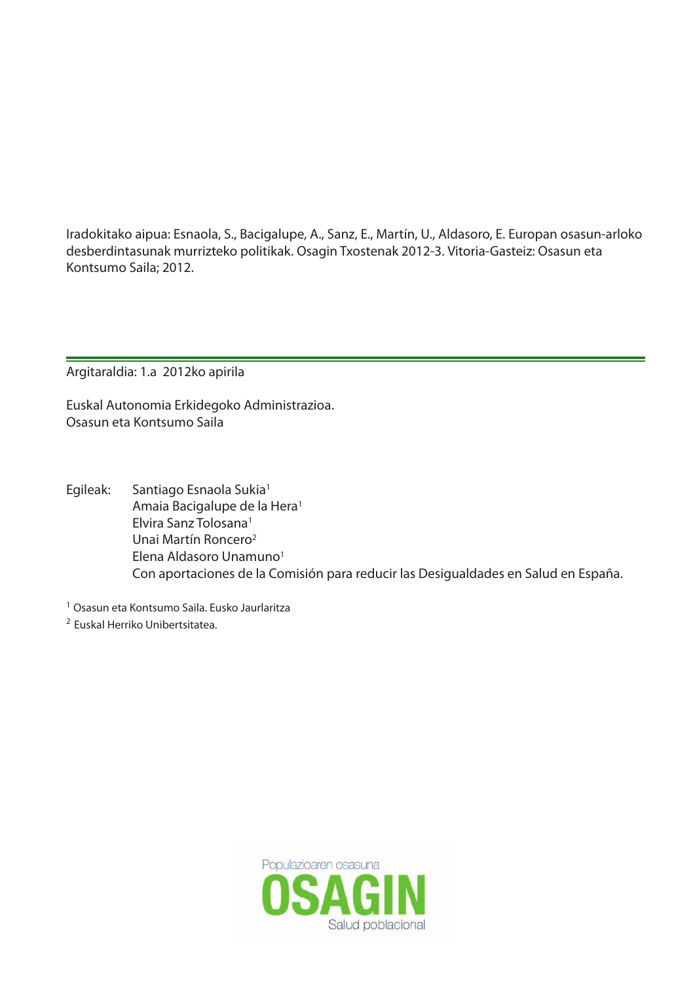Iradokitako aipua: Esnaola, S., Bacigalupe, A., Sanz, E., Martín, U., Aldasoro, E. Europan osasun-arloko desberdintasunak murrizteko politikak. Osagin Txostenak 2012-3. Vitoria-Gasteiz: Osasun eta Kontsumo Saila; 2012.

Argitaraldia: 1.a 2012ko apirila

Euskal Autonomia Erkidegoko Administrazioa. Osasun eta Kontsumo Saila

Egileak: Santiago Esnaola Sukia1 Amaia Bacigalupe de la Hera1 Elvira Sanz Tolosana1 Unai Martín Roncero2 Elena Aldasoro Unamuno<sup>1</sup> Con aportaciones de la Comisión para reducir las Desigualdades en Salud en España.

<sup>1</sup> Osasun eta Kontsumo Saila. Eusko Jaurlaritza

<sup>2</sup> Euskal Herriko Unibertsitatea.

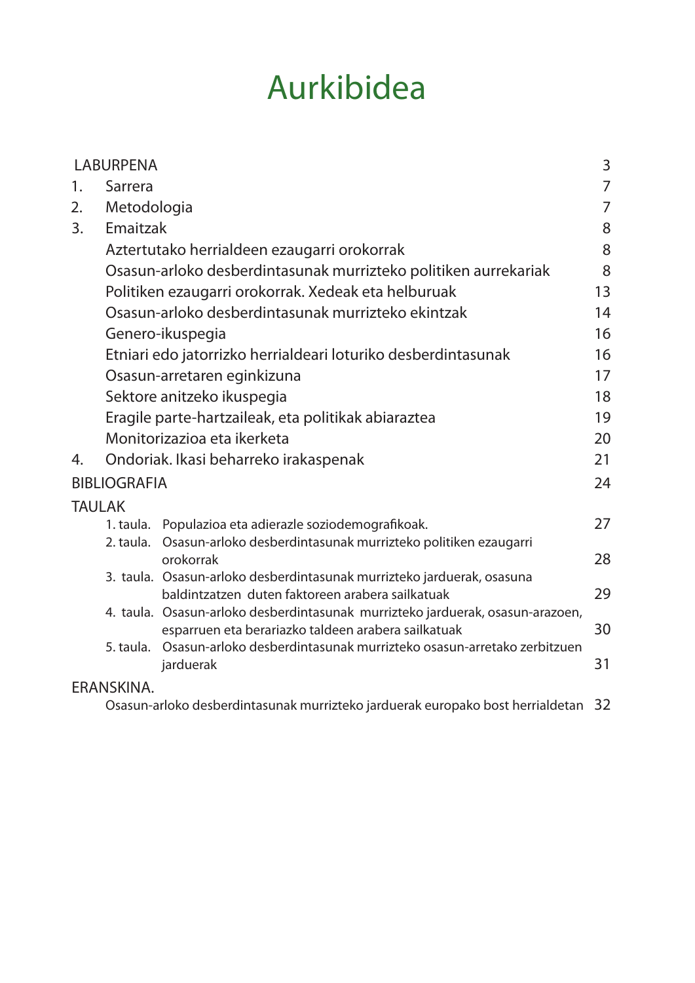## Aurkibidea

|               | <b>LABURPENA</b>    |                                                                                                                                       | 3              |
|---------------|---------------------|---------------------------------------------------------------------------------------------------------------------------------------|----------------|
| 1.            | Sarrera             |                                                                                                                                       | $\overline{7}$ |
| 2.            | Metodologia         |                                                                                                                                       | 7              |
| 3.            | Emaitzak            |                                                                                                                                       | 8              |
|               |                     | Aztertutako herrialdeen ezaugarri orokorrak                                                                                           | 8              |
|               |                     | Osasun-arloko desberdintasunak murrizteko politiken aurrekariak                                                                       | 8              |
|               |                     | Politiken ezaugarri orokorrak. Xedeak eta helburuak                                                                                   | 13             |
|               |                     | Osasun-arloko desberdintasunak murrizteko ekintzak                                                                                    | 14             |
|               |                     | Genero-ikuspegia                                                                                                                      | 16             |
|               |                     | Etniari edo jatorrizko herrialdeari loturiko desberdintasunak                                                                         | 16             |
|               |                     | Osasun-arretaren eginkizuna                                                                                                           | 17             |
|               |                     | Sektore anitzeko ikuspegia                                                                                                            | 18             |
|               |                     | Eragile parte-hartzaileak, eta politikak abiaraztea                                                                                   | 19             |
|               |                     | Monitorizazioa eta ikerketa                                                                                                           | 20             |
| 4.            |                     | Ondoriak. Ikasi beharreko irakaspenak                                                                                                 | 21             |
|               | <b>BIBLIOGRAFIA</b> |                                                                                                                                       | 24             |
| <b>TAULAK</b> |                     |                                                                                                                                       |                |
|               |                     | 1. taula. Populazioa eta adierazle soziodemografikoak.                                                                                | 27             |
|               |                     | 2. taula. Osasun-arloko desberdintasunak murrizteko politiken ezaugarri<br>orokorrak                                                  | 28             |
|               |                     | 3. taula. Osasun-arloko desberdintasunak murrizteko jarduerak, osasuna<br>baldintzatzen duten faktoreen arabera sailkatuak            | 29             |
|               |                     | 4. taula. Osasun-arloko desberdintasunak murrizteko jarduerak, osasun-arazoen,<br>esparruen eta berariazko taldeen arabera sailkatuak | 30             |
|               | 5. taula.           | Osasun-arloko desberdintasunak murrizteko osasun-arretako zerbitzuen<br>jarduerak                                                     | 31             |
|               | ERANSKINA.          |                                                                                                                                       |                |
|               |                     | Osasun-arloko desberdintasunak murrizteko jarduerak europako bost herrialdetan                                                        | 32             |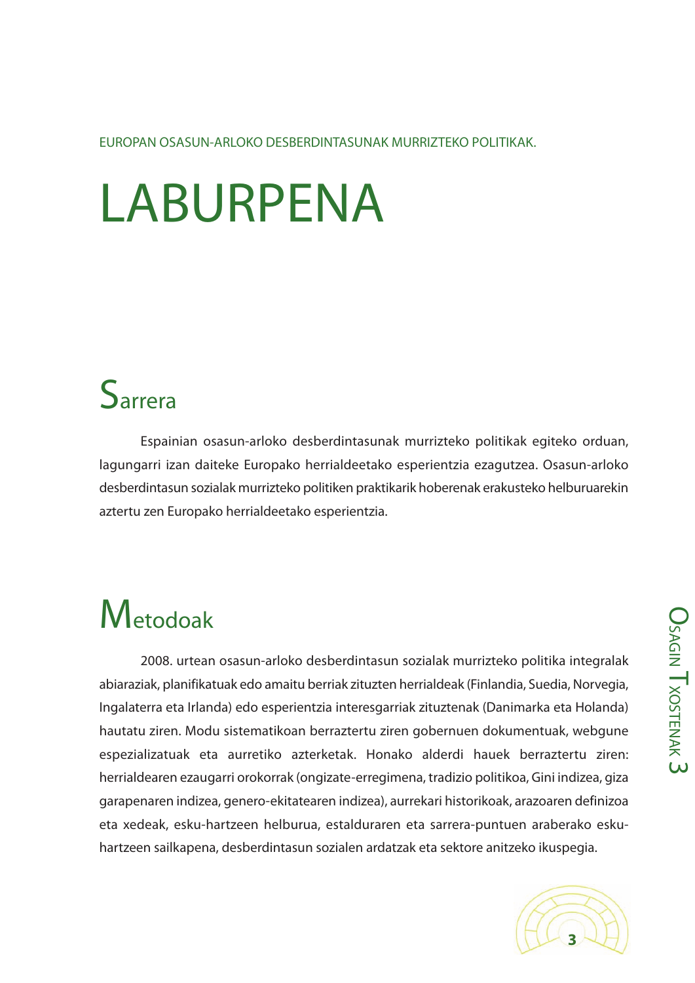EUROPAN OSASUN-ARLOKO DESBERDINTASUNAK MURRIZTEKO POLITIKAK.

# LABURPENA

### **S**arrera

Espainian osasun-arloko desberdintasunak murrizteko politikak egiteko orduan, lagungarri izan daiteke Europako herrialdeetako esperientzia ezagutzea. Osasun-arloko desberdintasun sozialak murrizteko politiken praktikarik hoberenak erakusteko helburuarekin aztertu zen Europako herrialdeetako esperientzia.

## **M**etodoak

2008. urtean osasun-arloko desberdintasun sozialak murrizteko politika integralak abiaraziak, planifikatuak edo amaitu berriak zituzten herrialdeak (Finlandia, Suedia, Norvegia, Ingalaterra eta Irlanda) edo esperientzia interesgarriak zituztenak (Danimarka eta Holanda) hautatu ziren. Modu sistematikoan berraztertu ziren gobernuen dokumentuak, webgune espezializatuak eta aurretiko azterketak. Honako alderdi hauek berraztertu ziren: herrialdearen ezaugarri orokorrak (ongizate-erregimena, tradizio politikoa, Gini indizea, giza garapenaren indizea, genero-ekitatearen indizea), aurrekari historikoak, arazoaren definizoa eta xedeak, esku-hartzeen helburua, estalduraren eta sarrera-puntuen araberako eskuhartzeen sailkapena, desberdintasun sozialen ardatzak eta sektore anitzeko ikuspegia.



**O<sub>SA</sub>** 

 $\stackrel{\textstyle\Omega}{\equiv}$ 

T<sub>XOSTEN</sub>

A K  $\overline{\mathsf{c}}$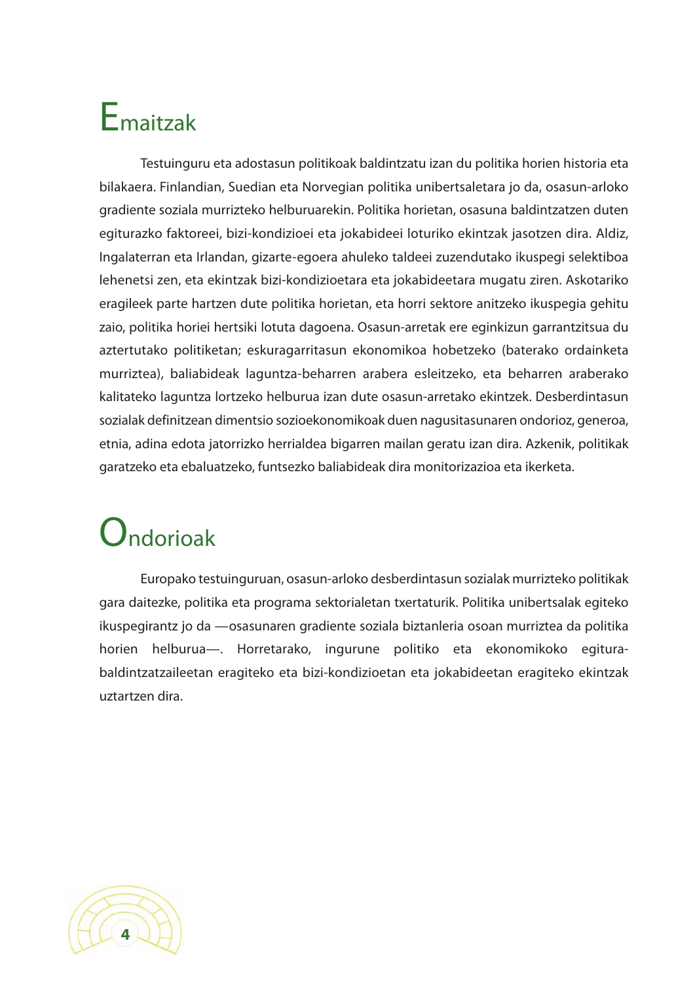## Emaitzak

Testuinguru eta adostasun politikoak baldintzatu izan du politika horien historia eta bilakaera. Finlandian, Suedian eta Norvegian politika unibertsaletara jo da, osasun-arloko gradiente soziala murrizteko helburuarekin. Politika horietan, osasuna baldintzatzen duten egiturazko faktoreei, bizi-kondizioei eta jokabideei loturiko ekintzak jasotzen dira. Aldiz, Ingalaterran eta Irlandan, gizarte-egoera ahuleko taldeei zuzendutako ikuspegi selektiboa lehenetsi zen, eta ekintzak bizi-kondizioetara eta jokabideetara mugatu ziren. Askotariko eragileek parte hartzen dute politika horietan, eta horri sektore anitzeko ikuspegia gehitu zaio, politika horiei hertsiki lotuta dagoena. Osasun-arretak ere eginkizun garrantzitsua du aztertutako politiketan; eskuragarritasun ekonomikoa hobetzeko (baterako ordainketa murriztea), baliabideak laguntza-beharren arabera esleitzeko, eta beharren araberako kalitateko laguntza lortzeko helburua izan dute osasun-arretako ekintzek. Desberdintasun sozialak definitzean dimentsio sozioekonomikoak duen nagusitasunaren ondorioz, generoa, etnia, adina edota jatorrizko herrialdea bigarren mailan geratu izan dira. Azkenik, politikak garatzeko eta ebaluatzeko, funtsezko baliabideak dira monitorizazioa eta ikerketa.

## Ondorioak

Europako testuinguruan, osasun-arloko desberdintasun sozialak murrizteko politikak gara daitezke, politika eta programa sektorialetan txertaturik. Politika unibertsalak egiteko ikuspegirantz jo da —osasunaren gradiente soziala biztanleria osoan murriztea da politika horien helburua—. Horretarako, ingurune politiko eta ekonomikoko egiturabaldintzatzaileetan eragiteko eta bizi-kondizioetan eta jokabideetan eragiteko ekintzak uztartzen dira.

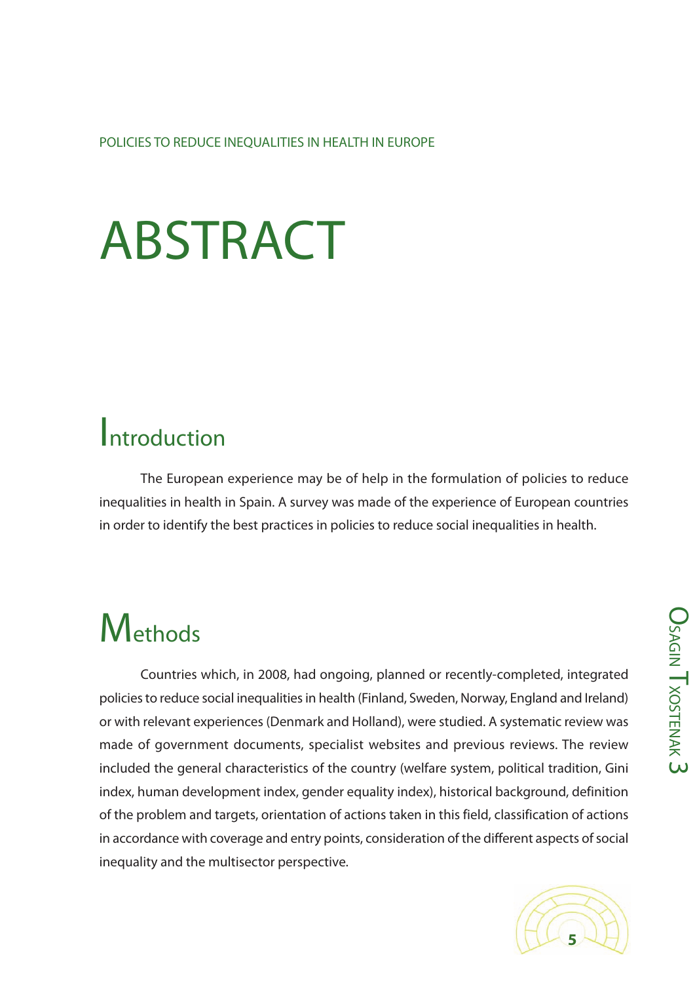POLICIES TO REDUCE INEQUALITIES IN HEALTH IN EUROPE

# ABSTRACT

### Introduction

The European experience may be of help in the formulation of policies to reduce inequalities in health in Spain. A survey was made of the experience of European countries in order to identify the best practices in policies to reduce social inequalities in health.

## **M**ethods

Countries which, in 2008, had ongoing, planned or recently-completed, integrated policies to reduce social inequalities in health (Finland, Sweden, Norway, England and Ireland) or with relevant experiences (Denmark and Holland), were studied. A systematic review was made of government documents, specialist websites and previous reviews. The review included the general characteristics of the country (welfare system, political tradition, Gini index, human development index, gender equality index), historical background, definition of the problem and targets, orientation of actions taken in this field, classification of actions in accordance with coverage and entry points, consideration of the different aspects of social inequality and the multisector perspective.

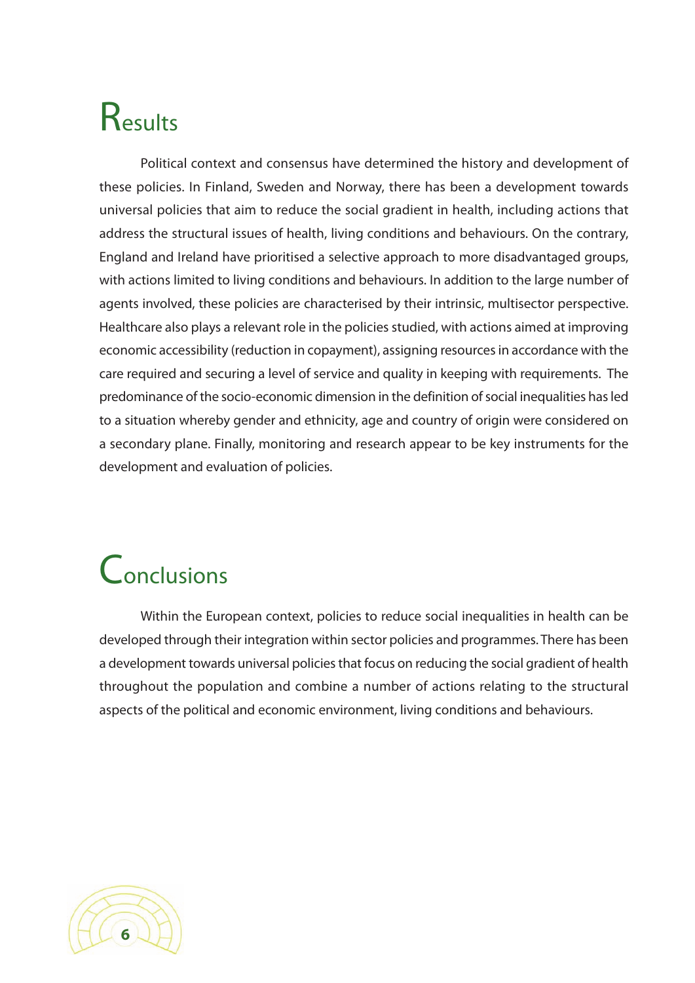## Results

Political context and consensus have determined the history and development of these policies. In Finland, Sweden and Norway, there has been a development towards universal policies that aim to reduce the social gradient in health, including actions that address the structural issues of health, living conditions and behaviours. On the contrary, England and Ireland have prioritised a selective approach to more disadvantaged groups, with actions limited to living conditions and behaviours. In addition to the large number of agents involved, these policies are characterised by their intrinsic, multisector perspective. Healthcare also plays a relevant role in the policies studied, with actions aimed at improving economic accessibility (reduction in copayment), assigning resources in accordance with the care required and securing a level of service and quality in keeping with requirements. The predominance of the socio-economic dimension in the definition of social inequalities has led to a situation whereby gender and ethnicity, age and country of origin were considered on a secondary plane. Finally, monitoring and research appear to be key instruments for the development and evaluation of policies.

## Conclusions

Within the European context, policies to reduce social inequalities in health can be developed through their integration within sector policies and programmes. There has been a development towards universal policies that focus on reducing the social gradient of health throughout the population and combine a number of actions relating to the structural aspects of the political and economic environment, living conditions and behaviours.

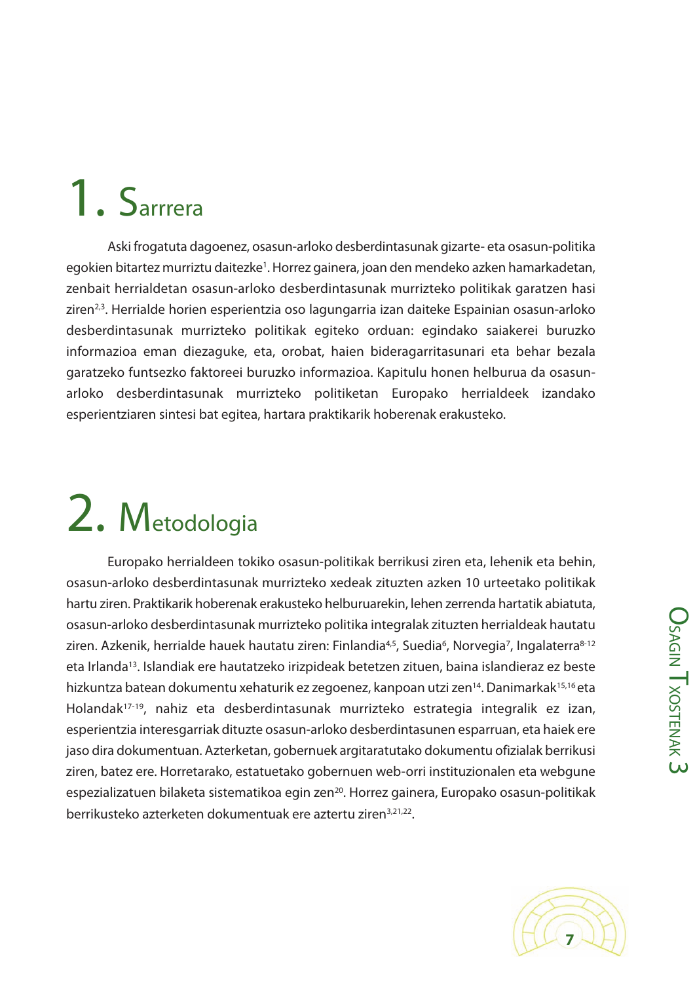# 1. Sarrrera

Aski frogatuta dagoenez, osasun-arloko desberdintasunak gizarte- eta osasun-politika egokien bitartez murriztu daitezke<sup>1</sup>. Horrez gainera, joan den mendeko azken hamarkadetan, zenbait herrialdetan osasun-arloko desberdintasunak murrizteko politikak garatzen hasi ziren<sup>2,3</sup>. Herrialde horien esperientzia oso lagungarria izan daiteke Espainian osasun-arloko desberdintasunak murrizteko politikak egiteko orduan: egindako saiakerei buruzko informazioa eman diezaguke, eta, orobat, haien bideragarritasunari eta behar bezala garatzeko funtsezko faktoreei buruzko informazioa. Kapitulu honen helburua da osasunarloko desberdintasunak murrizteko politiketan Europako herrialdeek izandako esperientziaren sintesi bat egitea, hartara praktikarik hoberenak erakusteko.

# 2. Metodologia

Europako herrialdeen tokiko osasun-politikak berrikusi ziren eta, lehenik eta behin, osasun-arloko desberdintasunak murrizteko xedeak zituzten azken 10 urteetako politikak hartu ziren. Praktikarik hoberenak erakusteko helburuarekin, lehen zerrenda hartatik abiatuta, osasun-arloko desberdintasunak murrizteko politika integralak zituzten herrialdeak hautatu ziren. Azkenik, herrialde hauek hautatu ziren: Finlandia<sup>4,5</sup>, Suedia<sup>6</sup>, Norvegia<sup>7</sup>, Ingalaterra<sup>8-12</sup> eta Irlanda<sup>13</sup>. Islandiak ere hautatzeko irizpideak betetzen zituen, baina islandieraz ez beste hizkuntza batean dokumentu xehaturik ez zegoenez, kanpoan utzi zen<sup>14</sup>. Danimarkak<sup>15,16</sup> eta Holandak17-19, nahiz eta desberdintasunak murrizteko estrategia integralik ez izan, esperientzia interesgarriak dituzte osasun-arloko desberdintasunen esparruan, eta haiek ere jaso dira dokumentuan. Azterketan, gobernuek argitaratutako dokumentu ofizialak berrikusi ziren, batez ere. Horretarako, estatuetako gobernuen web-orri instituzionalen eta webgune espezializatuen bilaketa sistematikoa egin zen<sup>20</sup>. Horrez gainera, Europako osasun-politikak berrikusteko azterketen dokumentuak ere aztertu ziren<sup>3,21,22</sup>.

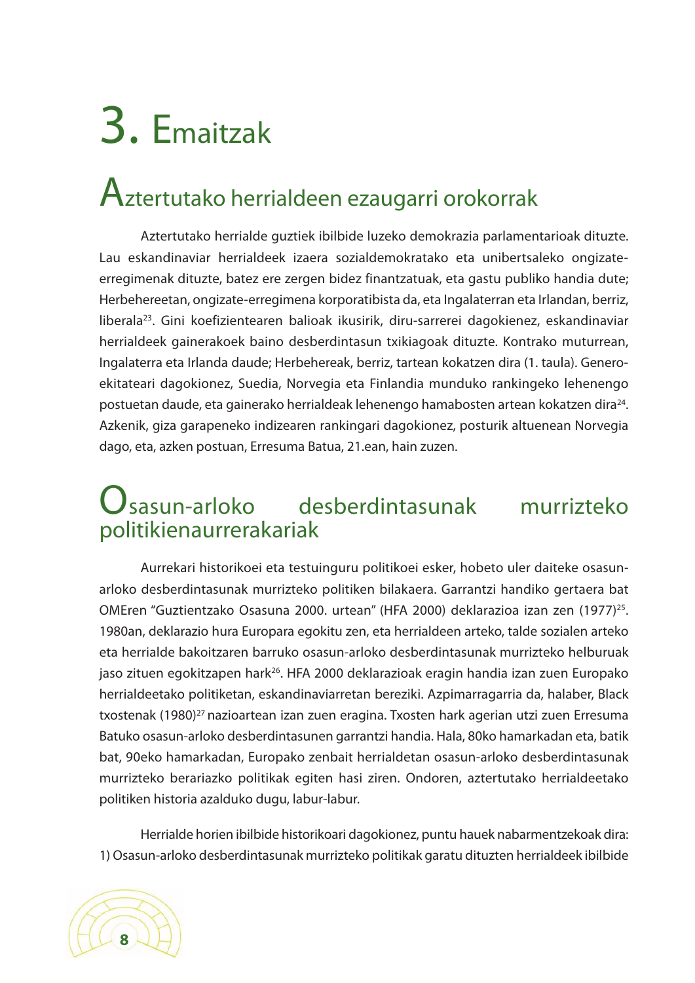# 3. Emaitzak

### Aztertutako herrialdeen ezaugarri orokorrak

Aztertutako herrialde guztiek ibilbide luzeko demokrazia parlamentarioak dituzte. Lau eskandinaviar herrialdeek izaera sozialdemokratako eta unibertsaleko ongizateerregimenak dituzte, batez ere zergen bidez finantzatuak, eta gastu publiko handia dute; Herbehereetan, ongizate-erregimena korporatibista da, eta Ingalaterran eta Irlandan, berriz, liberala<sup>23</sup>. Gini koefizientearen balioak ikusirik, diru-sarrerei dagokienez, eskandinaviar herrialdeek gainerakoek baino desberdintasun txikiagoak dituzte. Kontrako muturrean, Ingalaterra eta Irlanda daude; Herbehereak, berriz, tartean kokatzen dira (1. taula). Generoekitateari dagokionez, Suedia, Norvegia eta Finlandia munduko rankingeko lehenengo postuetan daude, eta gainerako herrialdeak lehenengo hamabosten artean kokatzen dira<sup>24</sup>. Azkenik, giza garapeneko indizearen rankingari dagokionez, posturik altuenean Norvegia dago, eta, azken postuan, Erresuma Batua, 21.ean, hain zuzen.

#### $\mathbf U$ sasun-arloko desberdintasunak murrizteko politikienaurrerakariak

Aurrekari historikoei eta testuinguru politikoei esker, hobeto uler daiteke osasunarloko desberdintasunak murrizteko politiken bilakaera. Garrantzi handiko gertaera bat OMEren "Guztientzako Osasuna 2000. urtean" (HFA 2000) deklarazioa izan zen (1977) 25. 1980an, deklarazio hura Europara egokitu zen, eta herrialdeen arteko, talde sozialen arteko eta herrialde bakoitzaren barruko osasun-arloko desberdintasunak murrizteko helburuak jaso zituen egokitzapen hark26. HFA 2000 deklarazioak eragin handia izan zuen Europako herrialdeetako politiketan, eskandinaviarretan bereziki. Azpimarragarria da, halaber, Black txostenak (1980) <sup>27</sup> nazioartean izan zuen eragina. Txosten hark agerian utzi zuen Erresuma Batuko osasun-arloko desberdintasunen garrantzi handia. Hala, 80ko hamarkadan eta, batik bat, 90eko hamarkadan, Europako zenbait herrialdetan osasun-arloko desberdintasunak murrizteko berariazko politikak egiten hasi ziren. Ondoren, aztertutako herrialdeetako politiken historia azalduko dugu, labur-labur.

Herrialde horien ibilbide historikoari dagokionez, puntu hauek nabarmentzekoak dira: 1) Osasun-arloko desberdintasunak murrizteko politikak garatu dituzten herrialdeek ibilbide

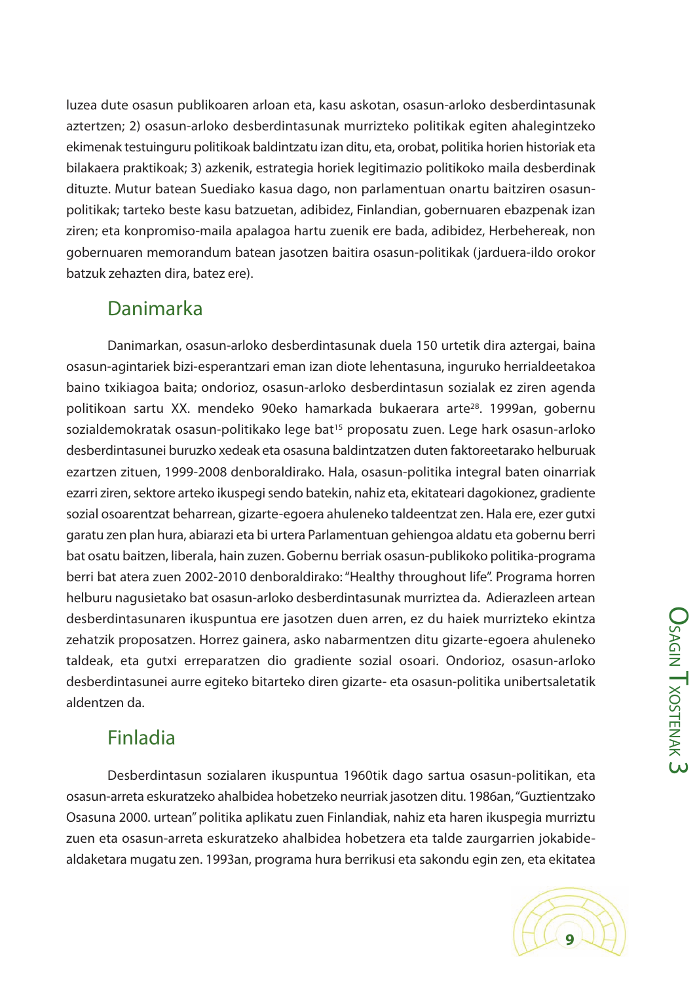luzea dute osasun publikoaren arloan eta, kasu askotan, osasun-arloko desberdintasunak aztertzen; 2) osasun-arloko desberdintasunak murrizteko politikak egiten ahalegintzeko ekimenak testuinguru politikoak baldintzatu izan ditu, eta, orobat, politika horien historiak eta bilakaera praktikoak; 3) azkenik, estrategia horiek legitimazio politikoko maila desberdinak dituzte. Mutur batean Suediako kasua dago, non parlamentuan onartu baitziren osasunpolitikak; tarteko beste kasu batzuetan, adibidez, Finlandian, gobernuaren ebazpenak izan ziren; eta konpromiso-maila apalagoa hartu zuenik ere bada, adibidez, Herbehereak, non gobernuaren memorandum batean jasotzen baitira osasun-politikak (jarduera-ildo orokor batzuk zehazten dira, batez ere).

#### Danimarka

Danimarkan, osasun-arloko desberdintasunak duela 150 urtetik dira aztergai, baina osasun-agintariek bizi-esperantzari eman izan diote lehentasuna, inguruko herrialdeetakoa baino txikiagoa baita; ondorioz, osasun-arloko desberdintasun sozialak ez ziren agenda politikoan sartu XX. mendeko 90eko hamarkada bukaerara arte<sup>28</sup>. 1999an, gobernu sozialdemokratak osasun-politikako lege bat<sup>15</sup> proposatu zuen. Lege hark osasun-arloko desberdintasunei buruzko xedeak eta osasuna baldintzatzen duten faktoreetarako helburuak ezartzen zituen, 1999-2008 denboraldirako. Hala, osasun-politika integral baten oinarriak ezarri ziren, sektore arteko ikuspegi sendo batekin, nahiz eta, ekitateari dagokionez, gradiente sozial osoarentzat beharrean, gizarte-egoera ahuleneko taldeentzat zen. Hala ere, ezer gutxi garatu zen plan hura, abiarazi eta bi urtera Parlamentuan gehiengoa aldatu eta gobernu berri bat osatu baitzen, liberala, hain zuzen. Gobernu berriak osasun-publikoko politika-programa berri bat atera zuen 2002-2010 denboraldirako:"Healthy throughout life". Programa horren helburu nagusietako bat osasun-arloko desberdintasunak murriztea da. Adierazleen artean desberdintasunaren ikuspuntua ere jasotzen duen arren, ez du haiek murrizteko ekintza zehatzik proposatzen. Horrez gainera, asko nabarmentzen ditu gizarte-egoera ahuleneko taldeak, eta gutxi erreparatzen dio gradiente sozial osoari. Ondorioz, osasun-arloko desberdintasunei aurre egiteko bitarteko diren gizarte- eta osasun-politika unibertsaletatik aldentzen da.

#### Finladia

Desberdintasun sozialaren ikuspuntua 1960tik dago sartua osasun-politikan, eta osasun-arreta eskuratzeko ahalbidea hobetzeko neurriak jasotzen ditu. 1986an,"Guztientzako Osasuna 2000. urtean"politika aplikatu zuen Finlandiak, nahiz eta haren ikuspegia murriztu zuen eta osasun-arreta eskuratzeko ahalbidea hobetzera eta talde zaurgarrien jokabidealdaketara mugatu zen. 1993an, programa hura berrikusi eta sakondu egin zen, eta ekitatea

**O<sub>SA</sub>** 

 $\stackrel{\textstyle\Omega}{\equiv}$ 

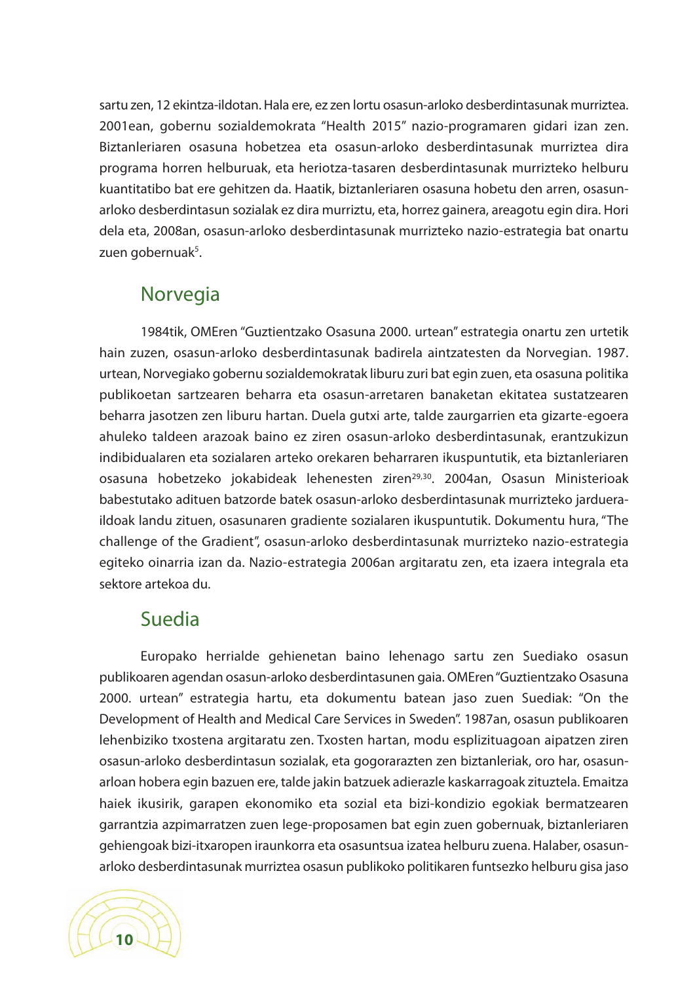sartu zen, 12 ekintza-ildotan. Hala ere, ez zen lortu osasun-arloko desberdintasunak murriztea. 2001ean, gobernu sozialdemokrata "Health 2015" nazio-programaren gidari izan zen. Biztanleriaren osasuna hobetzea eta osasun-arloko desberdintasunak murriztea dira programa horren helburuak, eta heriotza-tasaren desberdintasunak murrizteko helburu kuantitatibo bat ere gehitzen da. Haatik, biztanleriaren osasuna hobetu den arren, osasunarloko desberdintasun sozialak ez dira murriztu, eta, horrez gainera, areagotu egin dira. Hori dela eta, 2008an, osasun-arloko desberdintasunak murrizteko nazio-estrategia bat onartu zuen gobernuak<sup>5</sup>.

#### Norvegia

1984tik, OMEren "Guztientzako Osasuna 2000. urtean" estrategia onartu zen urtetik hain zuzen, osasun-arloko desberdintasunak badirela aintzatesten da Norvegian. 1987. urtean, Norvegiako gobernu sozialdemokratak liburu zuri bat egin zuen, eta osasuna politika publikoetan sartzearen beharra eta osasun-arretaren banaketan ekitatea sustatzearen beharra jasotzen zen liburu hartan. Duela gutxi arte, talde zaurgarrien eta gizarte-egoera ahuleko taldeen arazoak baino ez ziren osasun-arloko desberdintasunak, erantzukizun indibidualaren eta sozialaren arteko orekaren beharraren ikuspuntutik, eta biztanleriaren osasuna hobetzeko jokabideak lehenesten ziren<sup>29,30</sup>. 2004an, Osasun Ministerioak babestutako adituen batzorde batek osasun-arloko desberdintasunak murrizteko jardueraildoak landu zituen, osasunaren gradiente sozialaren ikuspuntutik. Dokumentu hura, "The challenge of the Gradient", osasun-arloko desberdintasunak murrizteko nazio-estrategia egiteko oinarria izan da. Nazio-estrategia 2006an argitaratu zen, eta izaera integrala eta sektore artekoa du.

#### Suedia

Europako herrialde gehienetan baino lehenago sartu zen Suediako osasun publikoaren agendan osasun-arloko desberdintasunen gaia. OMEren"Guztientzako Osasuna 2000. urtean" estrategia hartu, eta dokumentu batean jaso zuen Suediak: "On the Development of Health and Medical Care Services in Sweden". 1987an, osasun publikoaren lehenbiziko txostena argitaratu zen. Txosten hartan, modu esplizituagoan aipatzen ziren osasun-arloko desberdintasun sozialak, eta gogorarazten zen biztanleriak, oro har, osasunarloan hobera egin bazuen ere, talde jakin batzuek adierazle kaskarragoak zituztela. Emaitza haiek ikusirik, garapen ekonomiko eta sozial eta bizi-kondizio egokiak bermatzearen garrantzia azpimarratzen zuen lege-proposamen bat egin zuen gobernuak, biztanleriaren gehiengoak bizi-itxaropen iraunkorra eta osasuntsua izatea helburu zuena. Halaber, osasunarloko desberdintasunak murriztea osasun publikoko politikaren funtsezko helburu gisa jaso

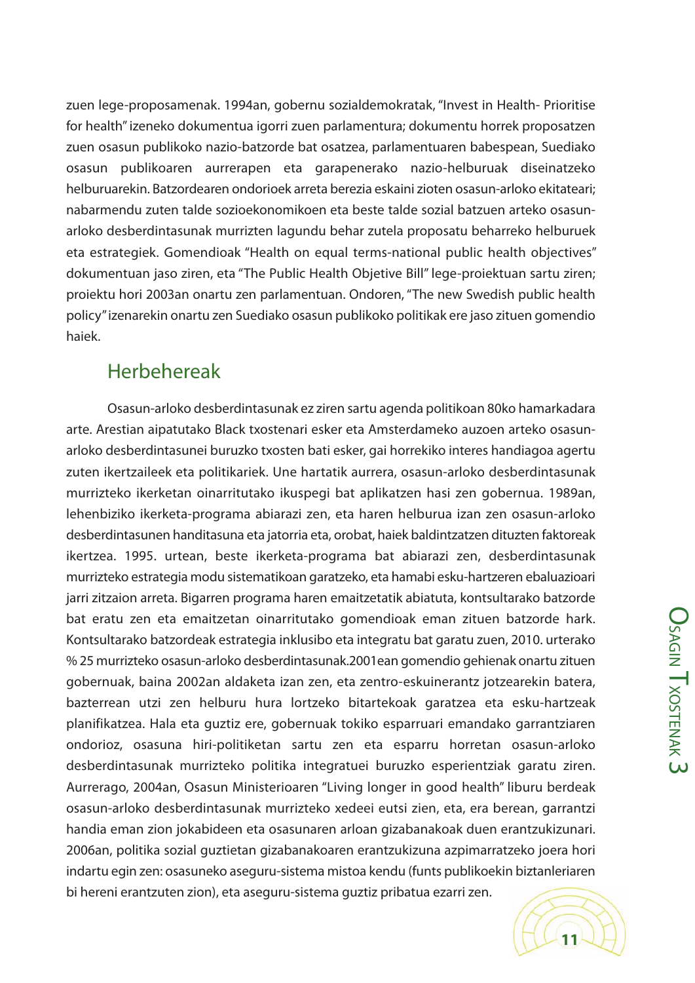zuen lege-proposamenak. 1994an, gobernu sozialdemokratak, "Invest in Health- Prioritise for health"izeneko dokumentua igorri zuen parlamentura; dokumentu horrek proposatzen zuen osasun publikoko nazio-batzorde bat osatzea, parlamentuaren babespean, Suediako osasun publikoaren aurrerapen eta garapenerako nazio-helburuak diseinatzeko helburuarekin. Batzordearen ondorioek arreta berezia eskaini zioten osasun-arloko ekitateari; nabarmendu zuten talde sozioekonomikoen eta beste talde sozial batzuen arteko osasunarloko desberdintasunak murrizten lagundu behar zutela proposatu beharreko helburuek eta estrategiek. Gomendioak "Health on equal terms-national public health objectives" dokumentuan jaso ziren, eta "The Public Health Objetive Bill" lege-proiektuan sartu ziren; proiektu hori 2003an onartu zen parlamentuan. Ondoren,"The new Swedish public health policy"izenarekin onartu zen Suediako osasun publikoko politikak ere jaso zituen gomendio haiek.

#### Herbehereak

Osasun-arloko desberdintasunak ez ziren sartu agenda politikoan 80ko hamarkadara arte. Arestian aipatutako Black txostenari esker eta Amsterdameko auzoen arteko osasunarloko desberdintasunei buruzko txosten bati esker, gai horrekiko interes handiagoa agertu zuten ikertzaileek eta politikariek. Une hartatik aurrera, osasun-arloko desberdintasunak murrizteko ikerketan oinarritutako ikuspegi bat aplikatzen hasi zen gobernua. 1989an, lehenbiziko ikerketa-programa abiarazi zen, eta haren helburua izan zen osasun-arloko desberdintasunen handitasuna eta jatorria eta, orobat, haiek baldintzatzen dituzten faktoreak ikertzea. 1995. urtean, beste ikerketa-programa bat abiarazi zen, desberdintasunak murrizteko estrategia modu sistematikoan garatzeko, eta hamabi esku-hartzeren ebaluazioari jarri zitzaion arreta. Bigarren programa haren emaitzetatik abiatuta, kontsultarako batzorde bat eratu zen eta emaitzetan oinarritutako gomendioak eman zituen batzorde hark. Kontsultarako batzordeak estrategia inklusibo eta integratu bat garatu zuen, 2010. urterako % 25 murrizteko osasun-arloko desberdintasunak.2001ean gomendio gehienak onartu zituen gobernuak, baina 2002an aldaketa izan zen, eta zentro-eskuinerantz jotzearekin batera, bazterrean utzi zen helburu hura lortzeko bitartekoak garatzea eta esku-hartzeak planifikatzea. Hala eta guztiz ere, gobernuak tokiko esparruari emandako garrantziaren ondorioz, osasuna hiri-politiketan sartu zen eta esparru horretan osasun-arloko desberdintasunak murrizteko politika integratuei buruzko esperientziak garatu ziren. Aurrerago, 2004an, Osasun Ministerioaren "Living longer in good health" liburu berdeak osasun-arloko desberdintasunak murrizteko xedeei eutsi zien, eta, era berean, garrantzi handia eman zion jokabideen eta osasunaren arloan gizabanakoak duen erantzukizunari. 2006an, politika sozial guztietan gizabanakoaren erantzukizuna azpimarratzeko joera hori indartu egin zen: osasuneko aseguru-sistema mistoa kendu (funts publikoekin biztanleriaren bi hereni erantzuten zion), eta aseguru-sistema guztiz pribatua ezarri zen.

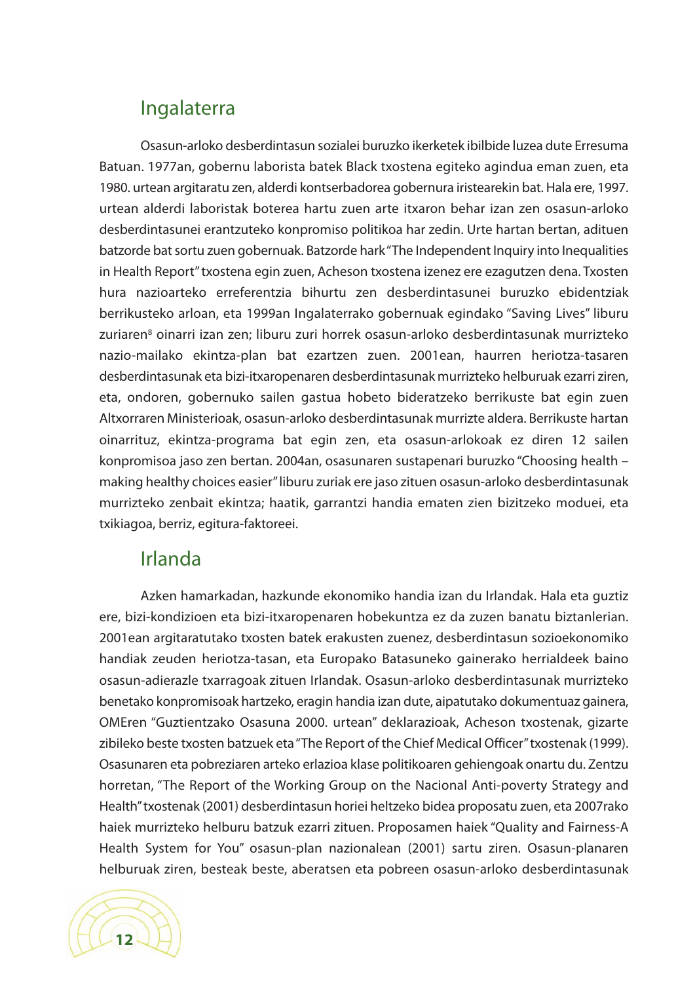#### Ingalaterra

Osasun-arloko desberdintasun sozialei buruzko ikerketek ibilbide luzea dute Erresuma Batuan. 1977an, gobernu laborista batek Black txostena egiteko agindua eman zuen, eta 1980. urtean argitaratu zen, alderdi kontserbadorea gobernura iristearekin bat. Hala ere, 1997. urtean alderdi laboristak boterea hartu zuen arte itxaron behar izan zen osasun-arloko desberdintasunei erantzuteko konpromiso politikoa har zedin. Urte hartan bertan, adituen batzorde bat sortu zuen gobernuak. Batzorde hark "The Independent Inquiry into Inequalities in Health Report"txostena egin zuen, Acheson txostena izenez ere ezagutzen dena. Txosten hura nazioarteko erreferentzia bihurtu zen desberdintasunei buruzko ebidentziak berrikusteko arloan, eta 1999an Ingalaterrako gobernuak egindako "Saving Lives" liburu zuriaren<sup>8</sup> oinarri izan zen; liburu zuri horrek osasun-arloko desberdintasunak murrizteko nazio-mailako ekintza-plan bat ezartzen zuen. 2001ean, haurren heriotza-tasaren desberdintasunak eta bizi-itxaropenaren desberdintasunak murrizteko helburuak ezarri ziren, eta, ondoren, gobernuko sailen gastua hobeto bideratzeko berrikuste bat egin zuen Altxorraren Ministerioak, osasun-arloko desberdintasunak murrizte aldera. Berrikuste hartan oinarrituz, ekintza-programa bat egin zen, eta osasun-arlokoak ez diren 12 sailen konpromisoa jaso zen bertan. 2004an, osasunaren sustapenari buruzko "Choosing health – making healthy choices easier"liburu zuriak ere jaso zituen osasun-arloko desberdintasunak murrizteko zenbait ekintza; haatik, garrantzi handia ematen zien bizitzeko moduei, eta txikiagoa, berriz, egitura-faktoreei.

#### Irlanda

Azken hamarkadan, hazkunde ekonomiko handia izan du Irlandak. Hala eta guztiz ere, bizi-kondizioen eta bizi-itxaropenaren hobekuntza ez da zuzen banatu biztanlerian. 2001ean argitaratutako txosten batek erakusten zuenez, desberdintasun sozioekonomiko handiak zeuden heriotza-tasan, eta Europako Batasuneko gainerako herrialdeek baino osasun-adierazle txarragoak zituen Irlandak. Osasun-arloko desberdintasunak murrizteko benetako konpromisoak hartzeko, eragin handia izan dute, aipatutako dokumentuaz gainera, OMEren "Guztientzako Osasuna 2000. urtean" deklarazioak, Acheson txostenak, gizarte zibileko beste txosten batzuek eta"The Report of the Chief Medical Officer"txostenak (1999). Osasunaren eta pobreziaren arteko erlazioa klase politikoaren gehiengoak onartu du. Zentzu horretan, "The Report of the Working Group on the Nacional Anti-poverty Strategy and Health"txostenak (2001) desberdintasun horiei heltzeko bidea proposatu zuen, eta 2007rako haiek murrizteko helburu batzuk ezarri zituen. Proposamen haiek "Quality and Fairness-A Health System for You" osasun-plan nazionalean (2001) sartu ziren. Osasun-planaren helburuak ziren, besteak beste, aberatsen eta pobreen osasun-arloko desberdintasunak

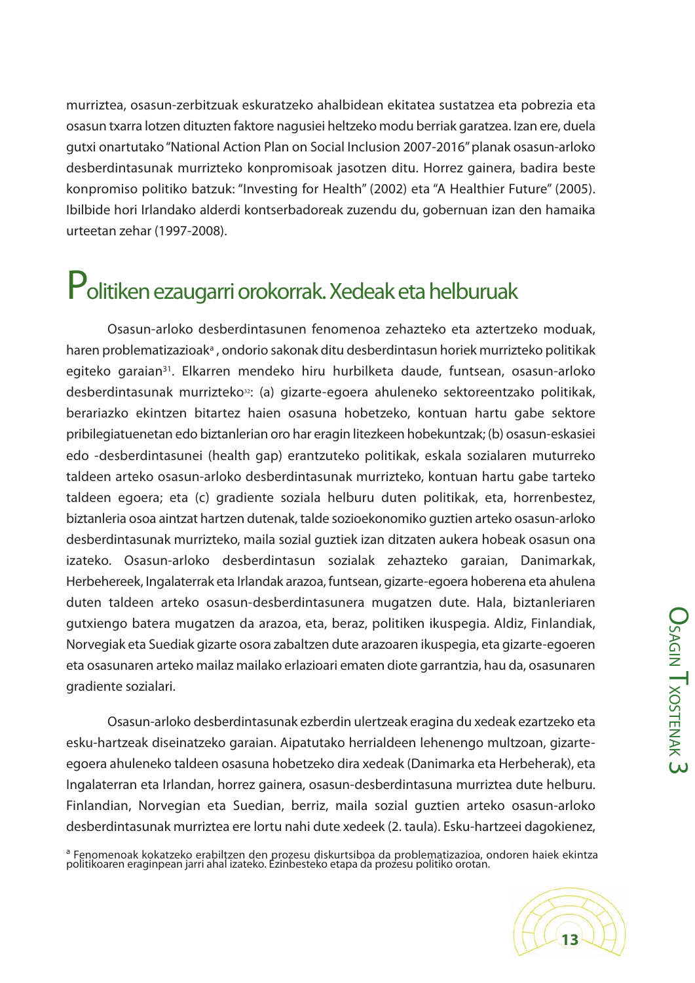murriztea, osasun-zerbitzuak eskuratzeko ahalbidean ekitatea sustatzea eta pobrezia eta osasun txarra lotzen dituzten faktore nagusiei heltzeko modu berriak garatzea. Izan ere, duela gutxi onartutako"National Action Plan on Social Inclusion 2007-2016"planak osasun-arloko desberdintasunak murrizteko konpromisoak jasotzen ditu. Horrez gainera, badira beste konpromiso politiko batzuk: "Investing for Health" (2002) eta "A Healthier Future" (2005). Ibilbide hori Irlandako alderdi kontserbadoreak zuzendu du, gobernuan izan den hamaika urteetan zehar (1997-2008).

### Politiken ezaugarri orokorrak. Xedeak eta helburuak

Osasun-arloko desberdintasunen fenomenoa zehazteko eta aztertzeko moduak, haren problematizazioak<sup>a</sup>, ondorio sakonak ditu desberdintasun horiek murrizteko politikak egiteko garaian<sup>31</sup>. Elkarren mendeko hiru hurbilketa daude, funtsean, osasun-arloko desberdintasunak murrizteko<sup>32</sup>: (a) gizarte-egoera ahuleneko sektoreentzako politikak, berariazko ekintzen bitartez haien osasuna hobetzeko, kontuan hartu gabe sektore pribilegiatuenetan edo biztanlerian oro har eragin litezkeen hobekuntzak; (b) osasun-eskasiei edo -desberdintasunei (health gap) erantzuteko politikak, eskala sozialaren muturreko taldeen arteko osasun-arloko desberdintasunak murrizteko, kontuan hartu gabe tarteko taldeen egoera; eta (c) gradiente soziala helburu duten politikak, eta, horrenbestez, biztanleria osoa aintzat hartzen dutenak, talde sozioekonomiko guztien arteko osasun-arloko desberdintasunak murrizteko, maila sozial guztiek izan ditzaten aukera hobeak osasun ona izateko. Osasun-arloko desberdintasun sozialak zehazteko garaian, Danimarkak, Herbehereek, Ingalaterrak eta Irlandak arazoa, funtsean, gizarte-egoera hoberena eta ahulena duten taldeen arteko osasun-desberdintasunera mugatzen dute. Hala, biztanleriaren gutxiengo batera mugatzen da arazoa, eta, beraz, politiken ikuspegia. Aldiz, Finlandiak, Norvegiak eta Suediak gizarte osora zabaltzen dute arazoaren ikuspegia, eta gizarte-egoeren eta osasunaren arteko mailaz mailako erlazioari ematen diote garrantzia, hau da, osasunaren gradiente sozialari.

Osasun-arloko desberdintasunak ezberdin ulertzeak eragina du xedeak ezartzeko eta esku-hartzeak diseinatzeko garaian. Aipatutako herrialdeen lehenengo multzoan, gizarteegoera ahuleneko taldeen osasuna hobetzeko dira xedeak (Danimarka eta Herbeherak), eta Ingalaterran eta Irlandan, horrez gainera, osasun-desberdintasuna murriztea dute helburu. Finlandian, Norvegian eta Suedian, berriz, maila sozial guztien arteko osasun-arloko desberdintasunak murriztea ere lortu nahi dute xedeek (2. taula). Esku-hartzeei dagokienez,

<sup>a</sup> Fenomenoak kokatzeko erabiltzen den prozesu diskurtsiboa da problematizazioa, ondoren haiek ekintza politikoaren eraginpean jarri ahal izateko. Ezinbesteko etapa da prozesu politiko orotan.

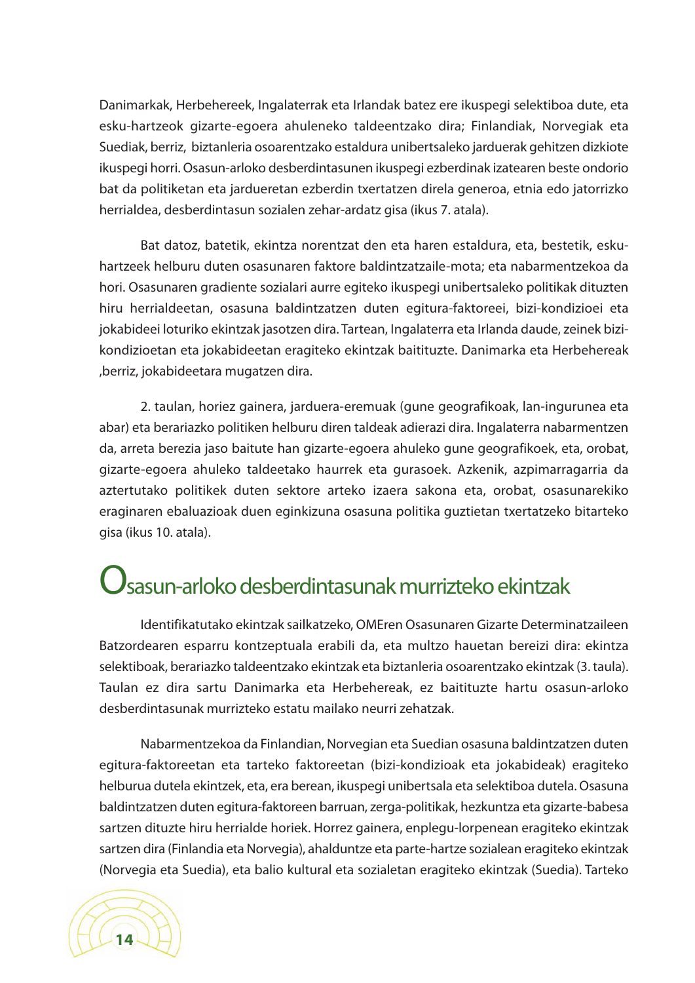Danimarkak, Herbehereek, Ingalaterrak eta Irlandak batez ere ikuspegi selektiboa dute, eta esku-hartzeok gizarte-egoera ahuleneko taldeentzako dira; Finlandiak, Norvegiak eta Suediak, berriz, biztanleria osoarentzako estaldura unibertsaleko jarduerak gehitzen dizkiote ikuspegi horri. Osasun-arloko desberdintasunen ikuspegi ezberdinak izatearen beste ondorio bat da politiketan eta jardueretan ezberdin txertatzen direla generoa, etnia edo jatorrizko herrialdea, desberdintasun sozialen zehar-ardatz gisa (ikus 7. atala).

Bat datoz, batetik, ekintza norentzat den eta haren estaldura, eta, bestetik, eskuhartzeek helburu duten osasunaren faktore baldintzatzaile-mota; eta nabarmentzekoa da hori. Osasunaren gradiente sozialari aurre egiteko ikuspegi unibertsaleko politikak dituzten hiru herrialdeetan, osasuna baldintzatzen duten egitura-faktoreei, bizi-kondizioei eta jokabideei loturiko ekintzak jasotzen dira. Tartean, Ingalaterra eta Irlanda daude, zeinek bizikondizioetan eta jokabideetan eragiteko ekintzak baitituzte. Danimarka eta Herbehereak ,berriz, jokabideetara mugatzen dira.

2. taulan, horiez gainera, jarduera-eremuak (gune geografikoak, lan-ingurunea eta abar) eta berariazko politiken helburu diren taldeak adierazi dira. Ingalaterra nabarmentzen da, arreta berezia jaso baitute han gizarte-egoera ahuleko gune geografikoek, eta, orobat, gizarte-egoera ahuleko taldeetako haurrek eta gurasoek. Azkenik, azpimarragarria da aztertutako politikek duten sektore arteko izaera sakona eta, orobat, osasunarekiko eraginaren ebaluazioak duen eginkizuna osasuna politika guztietan txertatzeko bitarteko gisa (ikus 10. atala).

### $\mathcal{\mathcal{Y}}$ sasun-arloko desberdintasunak murrizteko ekintzak

Identifikatutako ekintzak sailkatzeko, OMEren Osasunaren Gizarte Determinatzaileen Batzordearen esparru kontzeptuala erabili da, eta multzo hauetan bereizi dira: ekintza selektiboak, berariazko taldeentzako ekintzak eta biztanleria osoarentzako ekintzak (3. taula). Taulan ez dira sartu Danimarka eta Herbehereak, ez baitituzte hartu osasun-arloko desberdintasunak murrizteko estatu mailako neurri zehatzak.

Nabarmentzekoa da Finlandian, Norvegian eta Suedian osasuna baldintzatzen duten egitura-faktoreetan eta tarteko faktoreetan (bizi-kondizioak eta jokabideak) eragiteko helburua dutela ekintzek, eta, era berean, ikuspegi unibertsala eta selektiboa dutela. Osasuna baldintzatzen duten egitura-faktoreen barruan, zerga-politikak, hezkuntza eta gizarte-babesa sartzen dituzte hiru herrialde horiek. Horrez gainera, enplegu-lorpenean eragiteko ekintzak sartzen dira (Finlandia eta Norvegia), ahalduntze eta parte-hartze sozialean eragiteko ekintzak (Norvegia eta Suedia), eta balio kultural eta sozialetan eragiteko ekintzak (Suedia). Tarteko

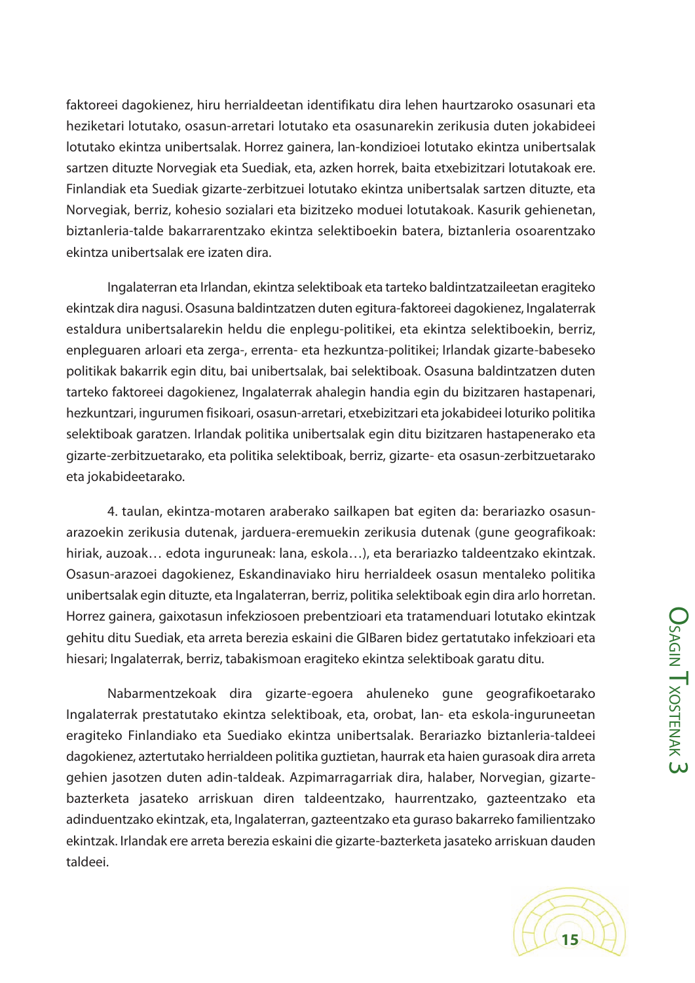faktoreei dagokienez, hiru herrialdeetan identifikatu dira lehen haurtzaroko osasunari eta heziketari lotutako, osasun-arretari lotutako eta osasunarekin zerikusia duten jokabideei lotutako ekintza unibertsalak. Horrez gainera, lan-kondizioei lotutako ekintza unibertsalak sartzen dituzte Norvegiak eta Suediak, eta, azken horrek, baita etxebizitzari lotutakoak ere. Finlandiak eta Suediak gizarte-zerbitzuei lotutako ekintza unibertsalak sartzen dituzte, eta Norvegiak, berriz, kohesio sozialari eta bizitzeko moduei lotutakoak. Kasurik gehienetan, biztanleria-talde bakarrarentzako ekintza selektiboekin batera, biztanleria osoarentzako ekintza unibertsalak ere izaten dira.

Ingalaterran eta Irlandan, ekintza selektiboak eta tarteko baldintzatzaileetan eragiteko ekintzak dira nagusi. Osasuna baldintzatzen duten egitura-faktoreei dagokienez, Ingalaterrak estaldura unibertsalarekin heldu die enplegu-politikei, eta ekintza selektiboekin, berriz, enpleguaren arloari eta zerga-, errenta- eta hezkuntza-politikei; Irlandak gizarte-babeseko politikak bakarrik egin ditu, bai unibertsalak, bai selektiboak. Osasuna baldintzatzen duten tarteko faktoreei dagokienez, Ingalaterrak ahalegin handia egin du bizitzaren hastapenari, hezkuntzari, ingurumen fisikoari, osasun-arretari, etxebizitzari eta jokabideei loturiko politika selektiboak garatzen. Irlandak politika unibertsalak egin ditu bizitzaren hastapenerako eta gizarte-zerbitzuetarako, eta politika selektiboak, berriz, gizarte- eta osasun-zerbitzuetarako eta jokabideetarako.

4. taulan, ekintza-motaren araberako sailkapen bat egiten da: berariazko osasunarazoekin zerikusia dutenak, jarduera-eremuekin zerikusia dutenak (gune geografikoak: hiriak, auzoak… edota inguruneak: lana, eskola…), eta berariazko taldeentzako ekintzak. Osasun-arazoei dagokienez, Eskandinaviako hiru herrialdeek osasun mentaleko politika unibertsalak egin dituzte, eta Ingalaterran, berriz, politika selektiboak egin dira arlo horretan. Horrez gainera, gaixotasun infekziosoen prebentzioari eta tratamenduari lotutako ekintzak gehitu ditu Suediak, eta arreta berezia eskaini die GIBaren bidez gertatutako infekzioari eta hiesari; Ingalaterrak, berriz, tabakismoan eragiteko ekintza selektiboak garatu ditu.

Nabarmentzekoak dira gizarte-egoera ahuleneko gune geografikoetarako Ingalaterrak prestatutako ekintza selektiboak, eta, orobat, lan- eta eskola-inguruneetan eragiteko Finlandiako eta Suediako ekintza unibertsalak. Berariazko biztanleria-taldeei dagokienez, aztertutako herrialdeen politika guztietan, haurrak eta haien gurasoak dira arreta gehien jasotzen duten adin-taldeak. Azpimarragarriak dira, halaber, Norvegian, gizartebazterketa jasateko arriskuan diren taldeentzako, haurrentzako, gazteentzako eta adinduentzako ekintzak, eta, Ingalaterran, gazteentzako eta guraso bakarreko familientzako ekintzak. Irlandak ere arreta berezia eskaini die gizarte-bazterketa jasateko arriskuan dauden taldeei.

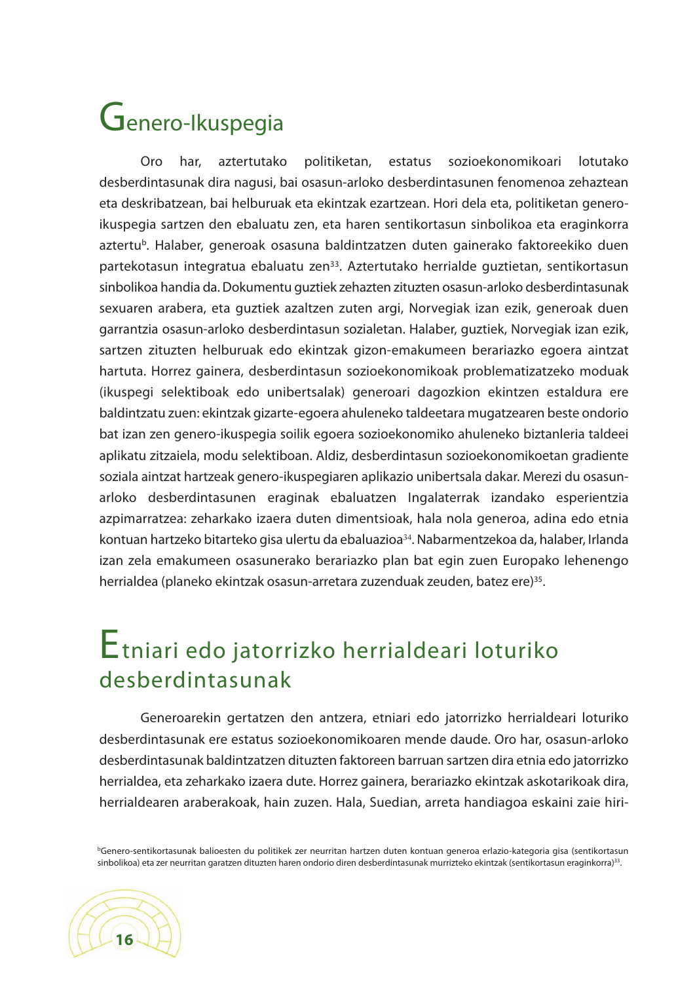## Genero-Ikuspegia

Oro har, aztertutako politiketan, estatus sozioekonomikoari lotutako desberdintasunak dira nagusi, bai osasun-arloko desberdintasunen fenomenoa zehaztean eta deskribatzean, bai helburuak eta ekintzak ezartzean. Hori dela eta, politiketan generoikuspegia sartzen den ebaluatu zen, eta haren sentikortasun sinbolikoa eta eraginkorra aztertu<sup>b</sup>. Halaber, generoak osasuna baldintzatzen duten gainerako faktoreekiko duen partekotasun integratua ebaluatu zen<sup>33</sup>. Aztertutako herrialde guztietan, sentikortasun sinbolikoa handia da. Dokumentu guztiek zehazten zituzten osasun-arloko desberdintasunak sexuaren arabera, eta guztiek azaltzen zuten argi, Norvegiak izan ezik, generoak duen garrantzia osasun-arloko desberdintasun sozialetan. Halaber, guztiek, Norvegiak izan ezik, sartzen zituzten helburuak edo ekintzak gizon-emakumeen berariazko egoera aintzat hartuta. Horrez gainera, desberdintasun sozioekonomikoak problematizatzeko moduak (ikuspegi selektiboak edo unibertsalak) generoari dagozkion ekintzen estaldura ere baldintzatu zuen: ekintzak gizarte-egoera ahuleneko taldeetara mugatzearen beste ondorio bat izan zen genero-ikuspegia soilik egoera sozioekonomiko ahuleneko biztanleria taldeei aplikatu zitzaiela, modu selektiboan. Aldiz, desberdintasun sozioekonomikoetan gradiente soziala aintzat hartzeak genero-ikuspegiaren aplikazio unibertsala dakar. Merezi du osasunarloko desberdintasunen eraginak ebaluatzen Ingalaterrak izandako esperientzia azpimarratzea: zeharkako izaera duten dimentsioak, hala nola generoa, adina edo etnia kontuan hartzeko bitarteko gisa ulertu da ebaluazioa<sup>34</sup>. Nabarmentzekoa da, halaber, Irlanda izan zela emakumeen osasunerako berariazko plan bat egin zuen Europako lehenengo herrialdea (planeko ekintzak osasun-arretara zuzenduak zeuden, batez ere) 35.

### Etniari edo jatorrizko herrialdeari loturiko desberdintasunak

Generoarekin gertatzen den antzera, etniari edo jatorrizko herrialdeari loturiko desberdintasunak ere estatus sozioekonomikoaren mende daude. Oro har, osasun-arloko desberdintasunak baldintzatzen dituzten faktoreen barruan sartzen dira etnia edo jatorrizko herrialdea, eta zeharkako izaera dute. Horrez gainera, berariazko ekintzak askotarikoak dira, herrialdearen araberakoak, hain zuzen. Hala, Suedian, arreta handiagoa eskaini zaie hiri-

bGenero-sentikortasunak balioesten du politikek zer neurritan hartzen duten kontuan generoa erlazio-kategoria gisa (sentikortasun sinbolikoa) eta zer neurritan garatzen dituzten haren ondorio diren desberdintasunak murrizteko ekintzak (sentikortasun eraginkorra) 33.

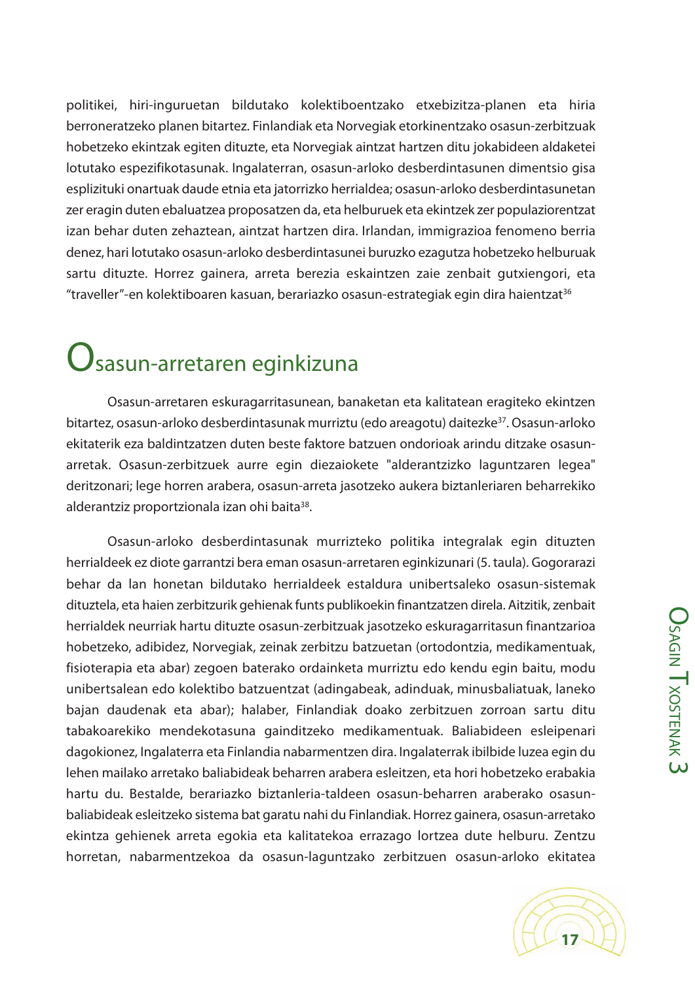politikei, hiri-inguruetan bildutako kolektiboentzako etxebizitza-planen eta hiria berroneratzeko planen bitartez. Finlandiak eta Norvegiak etorkinentzako osasun-zerbitzuak hobetzeko ekintzak egiten dituzte, eta Norvegiak aintzat hartzen ditu jokabideen aldaketei lotutako espezifikotasunak. Ingalaterran, osasun-arloko desberdintasunen dimentsio gisa esplizituki onartuak daude etnia eta jatorrizko herrialdea; osasun-arloko desberdintasunetan zer eragin duten ebaluatzea proposatzen da, eta helburuek eta ekintzek zer populaziorentzat izan behar duten zehaztean, aintzat hartzen dira. Irlandan, immigrazioa fenomeno berria denez, hari lotutako osasun-arloko desberdintasunei buruzko ezagutza hobetzeko helburuak sartu dituzte. Horrez gainera, arreta berezia eskaintzen zaie zenbait gutxiengori, eta "traveller"-en kolektiboaren kasuan, berariazko osasun-estrategiak egin dira haientzat<sup>36</sup>

### $\mathbf{\mathbf{U}}$ sasun-arretaren eginkizuna

Osasun-arretaren eskuragarritasunean, banaketan eta kalitatean eragiteko ekintzen bitartez, osasun-arloko desberdintasunak murriztu (edo areagotu) daitezke<sup>37</sup>. Osasun-arloko ekitaterik eza baldintzatzen duten beste faktore batzuen ondorioak arindu ditzake osasunarretak. Osasun-zerbitzuek aurre egin diezaiokete "alderantzizko laguntzaren legea" deritzonari; lege horren arabera, osasun-arreta jasotzeko aukera biztanleriaren beharrekiko alderantziz proportzionala izan ohi baita<sup>38</sup>.

Osasun-arloko desberdintasunak murrizteko politika integralak egin dituzten herrialdeek ez diote garrantzi bera eman osasun-arretaren eginkizunari (5. taula). Gogorarazi behar da lan honetan bildutako herrialdeek estaldura unibertsaleko osasun-sistemak dituztela, eta haien zerbitzurik gehienak funts publikoekin finantzatzen direla. Aitzitik, zenbait herrialdek neurriak hartu dituzte osasun-zerbitzuak jasotzeko eskuragarritasun finantzarioa hobetzeko, adibidez, Norvegiak, zeinak zerbitzu batzuetan (ortodontzia, medikamentuak, fisioterapia eta abar) zegoen baterako ordainketa murriztu edo kendu egin baitu, modu unibertsalean edo kolektibo batzuentzat (adingabeak, adinduak, minusbaliatuak, laneko bajan daudenak eta abar); halaber, Finlandiak doako zerbitzuen zorroan sartu ditu tabakoarekiko mendekotasuna gainditzeko medikamentuak. Baliabideen esleipenari dagokionez, Ingalaterra eta Finlandia nabarmentzen dira. Ingalaterrak ibilbide luzea egin du lehen mailako arretako baliabideak beharren arabera esleitzen, eta hori hobetzeko erabakia hartu du. Bestalde, berariazko biztanleria-taldeen osasun-beharren araberako osasunbaliabideak esleitzeko sistema bat garatu nahi du Finlandiak. Horrez gainera, osasun-arretako ekintza gehienek arreta egokia eta kalitatekoa errazago lortzea dute helburu. Zentzu horretan, nabarmentzekoa da osasun-laguntzako zerbitzuen osasun-arloko ekitatea

**O<sub>SA</sub>** 

 $\stackrel{\textstyle\Omega}{\equiv}$ 

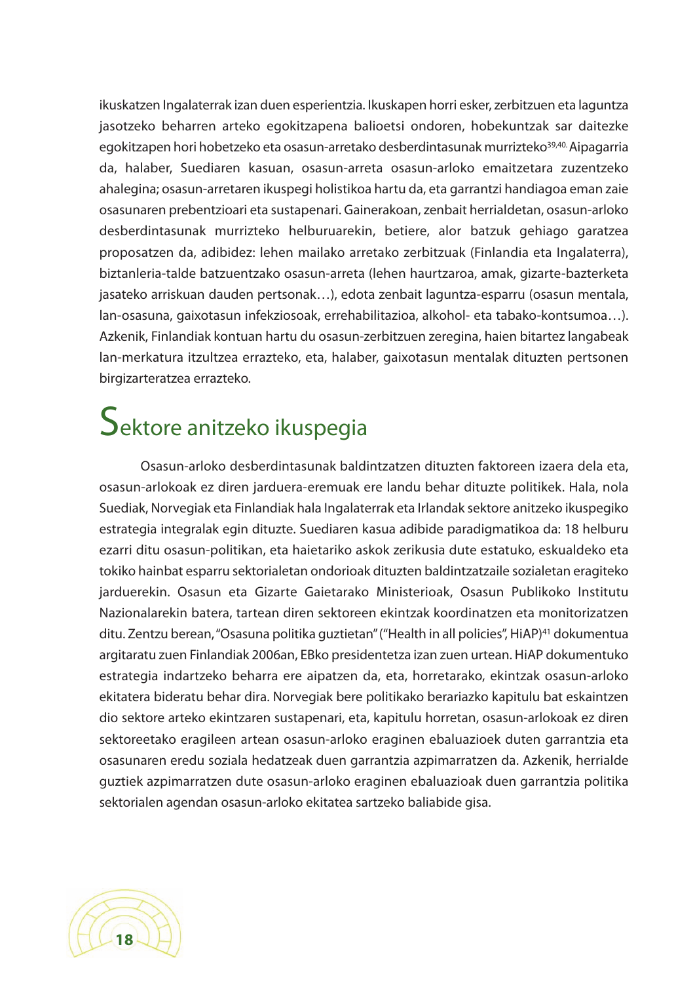ikuskatzen Ingalaterrak izan duen esperientzia. Ikuskapen horri esker, zerbitzuen eta laguntza jasotzeko beharren arteko egokitzapena balioetsi ondoren, hobekuntzak sar daitezke egokitzapen hori hobetzeko eta osasun-arretako desberdintasunak murrizteko<sup>39,40.</sup> Aipagarria da, halaber, Suediaren kasuan, osasun-arreta osasun-arloko emaitzetara zuzentzeko ahalegina; osasun-arretaren ikuspegi holistikoa hartu da, eta garrantzi handiagoa eman zaie osasunaren prebentzioari eta sustapenari. Gainerakoan, zenbait herrialdetan, osasun-arloko desberdintasunak murrizteko helburuarekin, betiere, alor batzuk gehiago garatzea proposatzen da, adibidez: lehen mailako arretako zerbitzuak (Finlandia eta Ingalaterra), biztanleria-talde batzuentzako osasun-arreta (lehen haurtzaroa, amak, gizarte-bazterketa jasateko arriskuan dauden pertsonak…), edota zenbait laguntza-esparru (osasun mentala, lan-osasuna, gaixotasun infekziosoak, errehabilitazioa, alkohol- eta tabako-kontsumoa…). Azkenik, Finlandiak kontuan hartu du osasun-zerbitzuen zeregina, haien bitartez langabeak lan-merkatura itzultzea errazteko, eta, halaber, gaixotasun mentalak dituzten pertsonen birgizarteratzea errazteko.

### Sektore anitzeko ikuspegia

Osasun-arloko desberdintasunak baldintzatzen dituzten faktoreen izaera dela eta, osasun-arlokoak ez diren jarduera-eremuak ere landu behar dituzte politikek. Hala, nola Suediak, Norvegiak eta Finlandiak hala Ingalaterrak eta Irlandak sektore anitzeko ikuspegiko estrategia integralak egin dituzte. Suediaren kasua adibide paradigmatikoa da: 18 helburu ezarri ditu osasun-politikan, eta haietariko askok zerikusia dute estatuko, eskualdeko eta tokiko hainbat esparru sektorialetan ondorioak dituzten baldintzatzaile sozialetan eragiteko jarduerekin. Osasun eta Gizarte Gaietarako Ministerioak, Osasun Publikoko Institutu Nazionalarekin batera, tartean diren sektoreen ekintzak koordinatzen eta monitorizatzen ditu. Zentzu berean,"Osasuna politika guztietan"("Health in all policies", HiAP) <sup>41</sup> dokumentua argitaratu zuen Finlandiak 2006an, EBko presidentetza izan zuen urtean. HiAP dokumentuko estrategia indartzeko beharra ere aipatzen da, eta, horretarako, ekintzak osasun-arloko ekitatera bideratu behar dira. Norvegiak bere politikako berariazko kapitulu bat eskaintzen dio sektore arteko ekintzaren sustapenari, eta, kapitulu horretan, osasun-arlokoak ez diren sektoreetako eragileen artean osasun-arloko eraginen ebaluazioek duten garrantzia eta osasunaren eredu soziala hedatzeak duen garrantzia azpimarratzen da. Azkenik, herrialde guztiek azpimarratzen dute osasun-arloko eraginen ebaluazioak duen garrantzia politika sektorialen agendan osasun-arloko ekitatea sartzeko baliabide gisa.

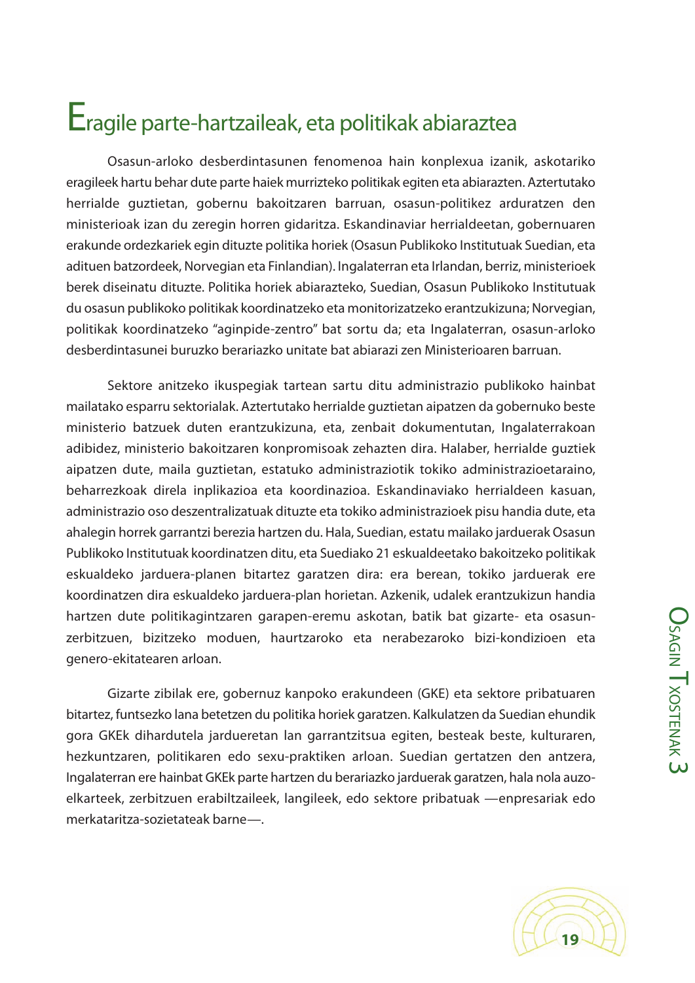### Eragile parte-hartzaileak, eta politikak abiaraztea

Osasun-arloko desberdintasunen fenomenoa hain konplexua izanik, askotariko eragileek hartu behar dute parte haiek murrizteko politikak egiten eta abiarazten. Aztertutako herrialde guztietan, gobernu bakoitzaren barruan, osasun-politikez arduratzen den ministerioak izan du zeregin horren gidaritza. Eskandinaviar herrialdeetan, gobernuaren erakunde ordezkariek egin dituzte politika horiek (Osasun Publikoko Institutuak Suedian, eta adituen batzordeek, Norvegian eta Finlandian). Ingalaterran eta Irlandan, berriz, ministerioek berek diseinatu dituzte. Politika horiek abiarazteko, Suedian, Osasun Publikoko Institutuak du osasun publikoko politikak koordinatzeko eta monitorizatzeko erantzukizuna; Norvegian, politikak koordinatzeko "aginpide-zentro" bat sortu da; eta Ingalaterran, osasun-arloko desberdintasunei buruzko berariazko unitate bat abiarazi zen Ministerioaren barruan.

Sektore anitzeko ikuspegiak tartean sartu ditu administrazio publikoko hainbat mailatako esparru sektorialak. Aztertutako herrialde guztietan aipatzen da gobernuko beste ministerio batzuek duten erantzukizuna, eta, zenbait dokumentutan, Ingalaterrakoan adibidez, ministerio bakoitzaren konpromisoak zehazten dira. Halaber, herrialde guztiek aipatzen dute, maila guztietan, estatuko administraziotik tokiko administrazioetaraino, beharrezkoak direla inplikazioa eta koordinazioa. Eskandinaviako herrialdeen kasuan, administrazio oso deszentralizatuak dituzte eta tokiko administrazioek pisu handia dute, eta ahalegin horrek garrantzi berezia hartzen du. Hala, Suedian, estatu mailako jarduerak Osasun Publikoko Institutuak koordinatzen ditu, eta Suediako 21 eskualdeetako bakoitzeko politikak eskualdeko jarduera-planen bitartez garatzen dira: era berean, tokiko jarduerak ere koordinatzen dira eskualdeko jarduera-plan horietan. Azkenik, udalek erantzukizun handia hartzen dute politikagintzaren garapen-eremu askotan, batik bat gizarte- eta osasunzerbitzuen, bizitzeko moduen, haurtzaroko eta nerabezaroko bizi-kondizioen eta genero-ekitatearen arloan.

Gizarte zibilak ere, gobernuz kanpoko erakundeen (GKE) eta sektore pribatuaren bitartez, funtsezko lana betetzen du politika horiek garatzen. Kalkulatzen da Suedian ehundik gora GKEk dihardutela jardueretan lan garrantzitsua egiten, besteak beste, kulturaren, hezkuntzaren, politikaren edo sexu-praktiken arloan. Suedian gertatzen den antzera, Ingalaterran ere hainbat GKEk parte hartzen du berariazko jarduerak garatzen, hala nola auzoelkarteek, zerbitzuen erabiltzaileek, langileek, edo sektore pribatuak —enpresariak edo merkataritza-sozietateak barne—.

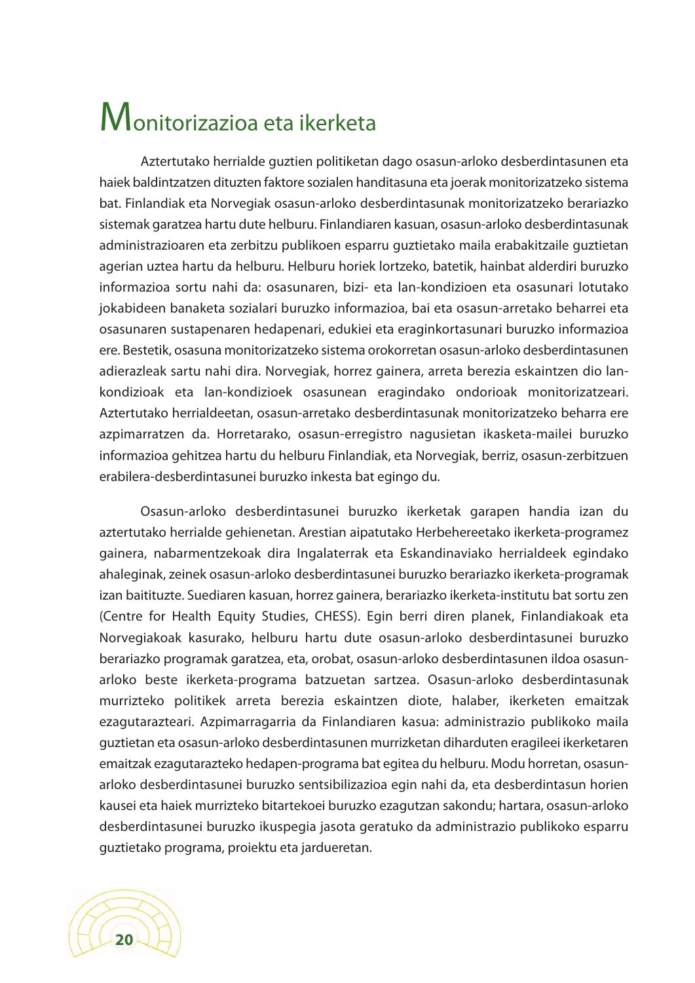## Monitorizazioa eta ikerketa

Aztertutako herrialde guztien politiketan dago osasun-arloko desberdintasunen eta haiek baldintzatzen dituzten faktore sozialen handitasuna eta joerak monitorizatzeko sistema bat. Finlandiak eta Norvegiak osasun-arloko desberdintasunak monitorizatzeko berariazko sistemak garatzea hartu dute helburu. Finlandiaren kasuan, osasun-arloko desberdintasunak administrazioaren eta zerbitzu publikoen esparru guztietako maila erabakitzaile guztietan agerian uztea hartu da helburu. Helburu horiek lortzeko, batetik, hainbat alderdiri buruzko informazioa sortu nahi da: osasunaren, bizi- eta lan-kondizioen eta osasunari lotutako jokabideen banaketa sozialari buruzko informazioa, bai eta osasun-arretako beharrei eta osasunaren sustapenaren hedapenari, edukiei eta eraginkortasunari buruzko informazioa ere. Bestetik, osasuna monitorizatzeko sistema orokorretan osasun-arloko desberdintasunen adierazleak sartu nahi dira. Norvegiak, horrez gainera, arreta berezia eskaintzen dio lankondizioak eta lan-kondizioek osasunean eragindako ondorioak monitorizatzeari. Aztertutako herrialdeetan, osasun-arretako desberdintasunak monitorizatzeko beharra ere azpimarratzen da. Horretarako, osasun-erregistro nagusietan ikasketa-mailei buruzko informazioa gehitzea hartu du helburu Finlandiak, eta Norvegiak, berriz, osasun-zerbitzuen erabilera-desberdintasunei buruzko inkesta bat egingo du.

Osasun-arloko desberdintasunei buruzko ikerketak garapen handia izan du aztertutako herrialde gehienetan. Arestian aipatutako Herbehereetako ikerketa-programez gainera, nabarmentzekoak dira Ingalaterrak eta Eskandinaviako herrialdeek egindako ahaleginak, zeinek osasun-arloko desberdintasunei buruzko berariazko ikerketa-programak izan baitituzte. Suediaren kasuan, horrez gainera, berariazko ikerketa-institutu bat sortu zen (Centre for Health Equity Studies, CHESS). Egin berri diren planek, Finlandiakoak eta Norvegiakoak kasurako, helburu hartu dute osasun-arloko desberdintasunei buruzko berariazko programak garatzea, eta, orobat, osasun-arloko desberdintasunen ildoa osasunarloko beste ikerketa-programa batzuetan sartzea. Osasun-arloko desberdintasunak murrizteko politikek arreta berezia eskaintzen diote, halaber, ikerketen emaitzak ezagutarazteari. Azpimarragarria da Finlandiaren kasua: administrazio publikoko maila guztietan eta osasun-arloko desberdintasunen murrizketan diharduten eragileei ikerketaren emaitzak ezagutarazteko hedapen-programa bat egitea du helburu. Modu horretan, osasunarloko desberdintasunei buruzko sentsibilizazioa egin nahi da, eta desberdintasun horien kausei eta haiek murrizteko bitartekoei buruzko ezagutzan sakondu; hartara, osasun-arloko desberdintasunei buruzko ikuspegia jasota geratuko da administrazio publikoko esparru guztietako programa, proiektu eta jardueretan.

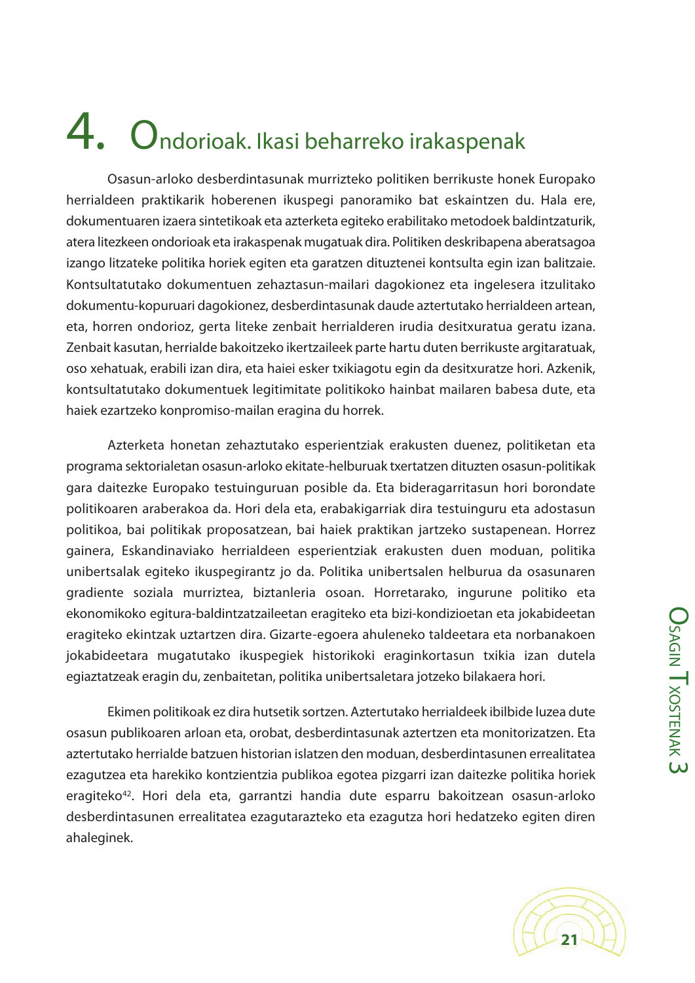# 4. Ondorioak. Ikasi beharreko irakaspenak

Osasun-arloko desberdintasunak murrizteko politiken berrikuste honek Europako herrialdeen praktikarik hoberenen ikuspegi panoramiko bat eskaintzen du. Hala ere, dokumentuaren izaera sintetikoak eta azterketa egiteko erabilitako metodoek baldintzaturik, atera litezkeen ondorioak eta irakaspenak mugatuak dira. Politiken deskribapena aberatsagoa izango litzateke politika horiek egiten eta garatzen dituztenei kontsulta egin izan balitzaie. Kontsultatutako dokumentuen zehaztasun-mailari dagokionez eta ingelesera itzulitako dokumentu-kopuruari dagokionez, desberdintasunak daude aztertutako herrialdeen artean, eta, horren ondorioz, gerta liteke zenbait herrialderen irudia desitxuratua geratu izana. Zenbait kasutan, herrialde bakoitzeko ikertzaileek parte hartu duten berrikuste argitaratuak, oso xehatuak, erabili izan dira, eta haiei esker txikiagotu egin da desitxuratze hori. Azkenik, kontsultatutako dokumentuek legitimitate politikoko hainbat mailaren babesa dute, eta haiek ezartzeko konpromiso-mailan eragina du horrek.

Azterketa honetan zehaztutako esperientziak erakusten duenez, politiketan eta programa sektorialetan osasun-arloko ekitate-helburuak txertatzen dituzten osasun-politikak gara daitezke Europako testuinguruan posible da. Eta bideragarritasun hori borondate politikoaren araberakoa da. Hori dela eta, erabakigarriak dira testuinguru eta adostasun politikoa, bai politikak proposatzean, bai haiek praktikan jartzeko sustapenean. Horrez gainera, Eskandinaviako herrialdeen esperientziak erakusten duen moduan, politika unibertsalak egiteko ikuspegirantz jo da. Politika unibertsalen helburua da osasunaren gradiente soziala murriztea, biztanleria osoan. Horretarako, ingurune politiko eta ekonomikoko egitura-baldintzatzaileetan eragiteko eta bizi-kondizioetan eta jokabideetan eragiteko ekintzak uztartzen dira. Gizarte-egoera ahuleneko taldeetara eta norbanakoen jokabideetara mugatutako ikuspegiek historikoki eraginkortasun txikia izan dutela egiaztatzeak eragin du, zenbaitetan, politika unibertsaletara jotzeko bilakaera hori.

Ekimen politikoak ez dira hutsetik sortzen. Aztertutako herrialdeek ibilbide luzea dute osasun publikoaren arloan eta, orobat, desberdintasunak aztertzen eta monitorizatzen. Eta aztertutako herrialde batzuen historian islatzen den moduan, desberdintasunen errealitatea ezagutzea eta harekiko kontzientzia publikoa egotea pizgarri izan daitezke politika horiek eragiteko<sup>42</sup>. Hori dela eta, garrantzi handia dute esparru bakoitzean osasun-arloko desberdintasunen errealitatea ezagutarazteko eta ezagutza hori hedatzeko egiten diren ahaleginek.

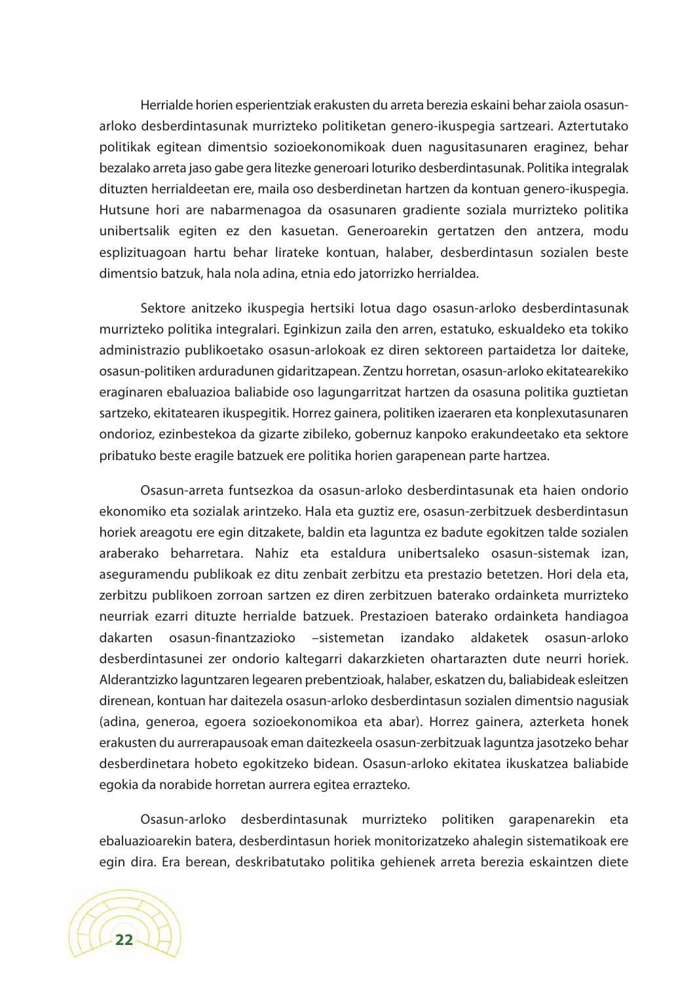Herrialde horien esperientziak erakusten du arreta berezia eskaini behar zaiola osasunarloko desberdintasunak murrizteko politiketan genero-ikuspegia sartzeari. Aztertutako politikak egitean dimentsio sozioekonomikoak duen nagusitasunaren eraginez, behar bezalako arreta jaso gabe gera litezke generoari loturiko desberdintasunak. Politika integralak dituzten herrialdeetan ere, maila oso desberdinetan hartzen da kontuan genero-ikuspegia. Hutsune hori are nabarmenagoa da osasunaren gradiente soziala murrizteko politika unibertsalik egiten ez den kasuetan. Generoarekin gertatzen den antzera, modu esplizituagoan hartu behar lirateke kontuan, halaber, desberdintasun sozialen beste dimentsio batzuk, hala nola adina, etnia edo jatorrizko herrialdea.

Sektore anitzeko ikuspegia hertsiki lotua dago osasun-arloko desberdintasunak murrizteko politika integralari. Eginkizun zaila den arren, estatuko, eskualdeko eta tokiko administrazio publikoetako osasun-arlokoak ez diren sektoreen partaidetza lor daiteke, osasun-politiken arduradunen gidaritzapean. Zentzu horretan, osasun-arloko ekitatearekiko eraginaren ebaluazioa baliabide oso lagungarritzat hartzen da osasuna politika guztietan sartzeko, ekitatearen ikuspegitik. Horrez gainera, politiken izaeraren eta konplexutasunaren ondorioz, ezinbestekoa da gizarte zibileko, gobernuz kanpoko erakundeetako eta sektore pribatuko beste eragile batzuek ere politika horien garapenean parte hartzea.

Osasun-arreta funtsezkoa da osasun-arloko desberdintasunak eta haien ondorio ekonomiko eta sozialak arintzeko. Hala eta guztiz ere, osasun-zerbitzuek desberdintasun horiek areagotu ere egin ditzakete, baldin eta laguntza ez badute egokitzen talde sozialen araberako beharretara. Nahiz eta estaldura unibertsaleko osasun-sistemak izan, aseguramendu publikoak ez ditu zenbait zerbitzu eta prestazio betetzen. Hori dela eta, zerbitzu publikoen zorroan sartzen ez diren zerbitzuen baterako ordainketa murrizteko neurriak ezarri dituzte herrialde batzuek. Prestazioen baterako ordainketa handiagoa dakarten osasun-finantzazioko –sistemetan izandako aldaketek osasun-arloko desberdintasunei zer ondorio kaltegarri dakarzkieten ohartarazten dute neurri horiek. Alderantzizko laguntzaren legearen prebentzioak, halaber, eskatzen du, baliabideak esleitzen direnean, kontuan har daitezela osasun-arloko desberdintasun sozialen dimentsio nagusiak (adina, generoa, egoera sozioekonomikoa eta abar). Horrez gainera, azterketa honek erakusten du aurrerapausoak eman daitezkeela osasun-zerbitzuak laguntza jasotzeko behar desberdinetara hobeto egokitzeko bidean. Osasun-arloko ekitatea ikuskatzea baliabide egokia da norabide horretan aurrera egitea errazteko.

Osasun-arloko desberdintasunak murrizteko politiken garapenarekin eta ebaluazioarekin batera, desberdintasun horiek monitorizatzeko ahalegin sistematikoak ere egin dira. Era berean, deskribatutako politika gehienek arreta berezia eskaintzen diete

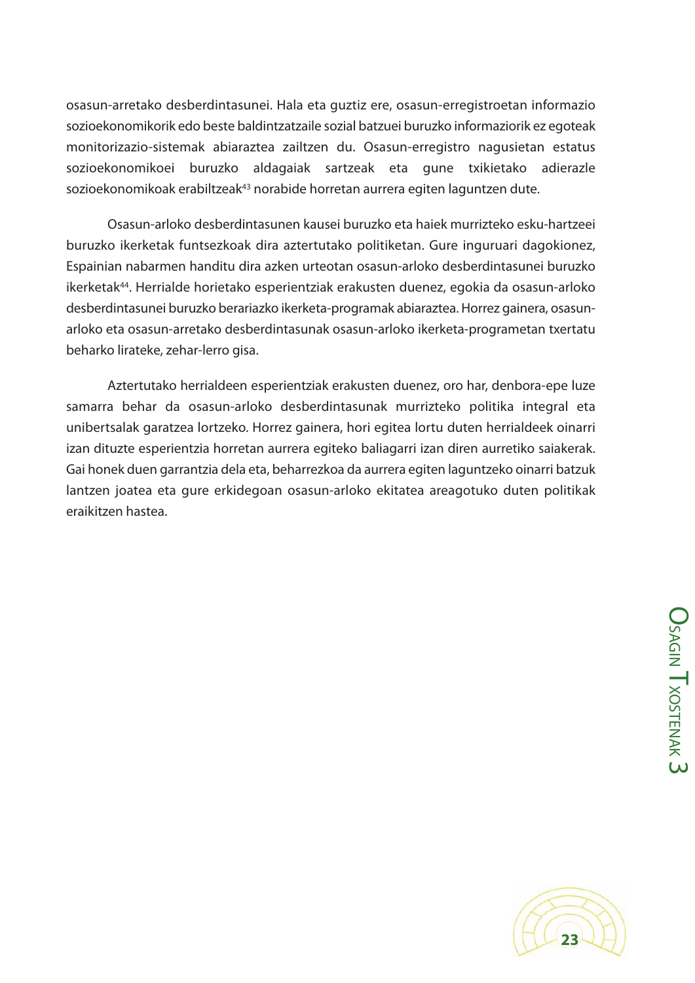osasun-arretako desberdintasunei. Hala eta guztiz ere, osasun-erregistroetan informazio sozioekonomikorik edo beste baldintzatzaile sozial batzuei buruzko informaziorik ez egoteak monitorizazio-sistemak abiaraztea zailtzen du. Osasun-erregistro nagusietan estatus sozioekonomikoei buruzko aldagaiak sartzeak eta gune txikietako adierazle sozioekonomikoak erabiltzeak43 norabide horretan aurrera egiten laguntzen dute.

Osasun-arloko desberdintasunen kausei buruzko eta haiek murrizteko esku-hartzeei buruzko ikerketak funtsezkoak dira aztertutako politiketan. Gure inguruari dagokionez, Espainian nabarmen handitu dira azken urteotan osasun-arloko desberdintasunei buruzko ikerketak44. Herrialde horietako esperientziak erakusten duenez, egokia da osasun-arloko desberdintasunei buruzko berariazko ikerketa-programak abiaraztea. Horrez gainera, osasunarloko eta osasun-arretako desberdintasunak osasun-arloko ikerketa-programetan txertatu beharko lirateke, zehar-lerro gisa.

Aztertutako herrialdeen esperientziak erakusten duenez, oro har, denbora-epe luze samarra behar da osasun-arloko desberdintasunak murrizteko politika integral eta unibertsalak garatzea lortzeko. Horrez gainera, hori egitea lortu duten herrialdeek oinarri izan dituzte esperientzia horretan aurrera egiteko baliagarri izan diren aurretiko saiakerak. Gai honek duen garrantzia dela eta, beharrezkoa da aurrera egiten laguntzeko oinarri batzuk lantzen joatea eta gure erkidegoan osasun-arloko ekitatea areagotuko duten politikak eraikitzen hastea.

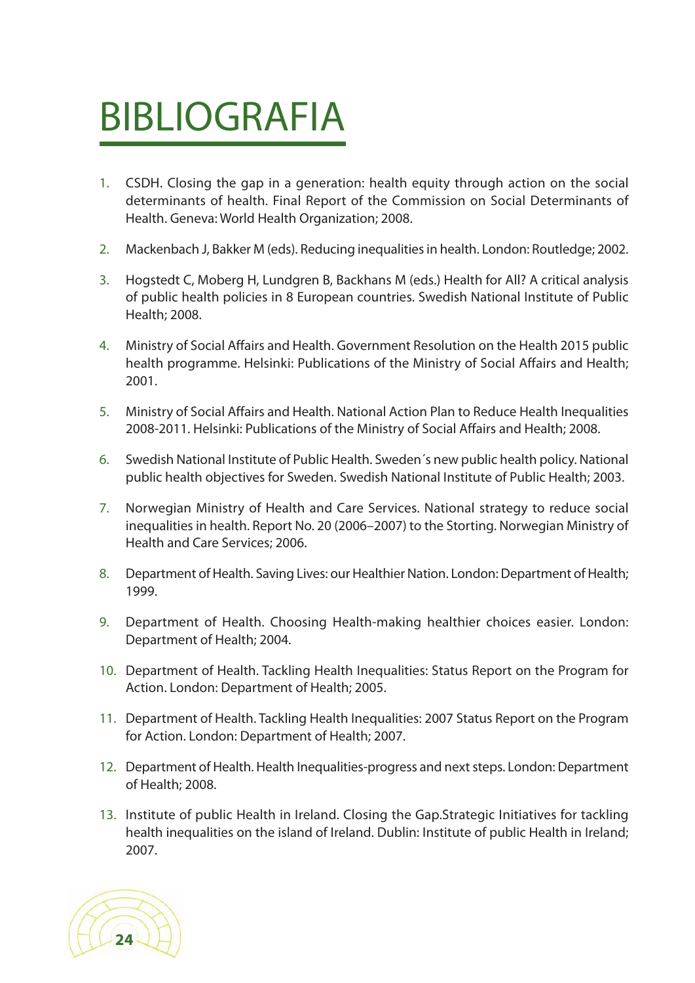# BIBLIOGRAFIA

- 1. CSDH. Closing the gap in a generation: health equity through action on the social determinants of health. Final Report of the Commission on Social Determinants of Health. Geneva: World Health Organization; 2008.
- 2. Mackenbach J, Bakker M (eds). Reducing inequalities in health. London: Routledge; 2002.
- 3. Hogstedt C, Moberg H, Lundgren B, Backhans M (eds.) Health for All? A critical analysis of public health policies in 8 European countries. Swedish National Institute of Public Health; 2008.
- 4. Ministry of Social Affairs and Health. Government Resolution on the Health 2015 public health programme. Helsinki: Publications of the Ministry of Social Affairs and Health; 2001.
- 5. Ministry of Social Affairs and Health. National Action Plan to Reduce Health Inequalities 2008-2011. Helsinki: Publications of the Ministry of Social Affairs and Health; 2008.
- 6. Swedish National Institute of Public Health. Sweden´s new public health policy. National public health objectives for Sweden. Swedish National Institute of Public Health; 2003.
- 7. Norwegian Ministry of Health and Care Services. National strategy to reduce social inequalities in health. Report No. 20 (2006–2007) to the Storting. Norwegian Ministry of Health and Care Services; 2006.
- 8. Department of Health. Saving Lives: our Healthier Nation. London: Department of Health; 1999.
- 9. Department of Health. Choosing Health-making healthier choices easier. London: Department of Health; 2004.
- 10. Department of Health. Tackling Health Inequalities: Status Report on the Program for Action. London: Department of Health; 2005.
- 11. Department of Health. Tackling Health Inequalities: 2007 Status Report on the Program for Action. London: Department of Health; 2007.
- 12. Department of Health. Health Inequalities-progress and next steps. London: Department of Health; 2008.
- 13. Institute of public Health in Ireland. Closing the Gap.Strategic Initiatives for tackling health inequalities on the island of Ireland. Dublin: Institute of public Health in Ireland; 2007.

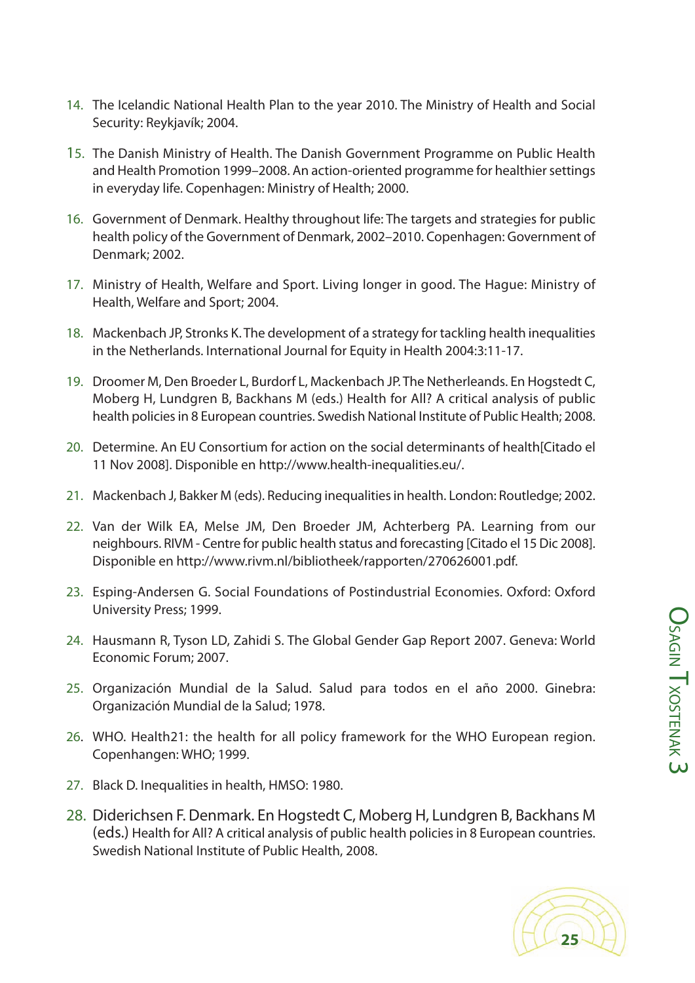- 15. The Danish Ministry of Health. The Danish Government Programme on Public Health and Health Promotion 1999–2008. An action-oriented programme for healthier settings in everyday life. Copenhagen: Ministry of Health; 2000.
- 16. Government of Denmark. Healthy throughout life: The targets and strategies for public health policy of the Government of Denmark, 2002–2010. Copenhagen: Government of Denmark; 2002.
- 17. Ministry of Health, Welfare and Sport. Living longer in good. The Hague: Ministry of Health, Welfare and Sport; 2004.
- 18. Mackenbach JP, Stronks K. The development of a strategy for tackling health inequalities in the Netherlands. International Journal for Equity in Health 2004:3:11-17.
- 19. Droomer M, Den Broeder L, Burdorf L, Mackenbach JP. The Netherleands. En Hogstedt C, Moberg H, Lundgren B, Backhans M (eds.) Health for All? A critical analysis of public health policies in 8 European countries. Swedish National Institute of Public Health; 2008.
- 20. Determine. An EU Consortium for action on the social determinants of health[Citado el 11 Nov 2008]. Disponible en http://www.health-inequalities.eu/.
- 21. Mackenbach J, Bakker M (eds). Reducing inequalitiesin health. London: Routledge; 2002.
- 22. Van der Wilk EA, Melse JM, Den Broeder JM, Achterberg PA. Learning from our neighbours. RIVM - Centre for public health status and forecasting [Citado el 15 Dic 2008]. Disponible en http://www.rivm.nl/bibliotheek/rapporten/270626001.pdf.
- 23. Esping-Andersen G. Social Foundations of Postindustrial Economies. Oxford: Oxford University Press; 1999.
- 24. Hausmann R, Tyson LD, Zahidi S. The Global Gender Gap Report 2007. Geneva: World Economic Forum; 2007.
- 25. Organización Mundial de la Salud. Salud para todos en el año 2000. Ginebra: Organización Mundial de la Salud; 1978.
- 26. WHO. Health21: the health for all policy framework for the WHO European region. Copenhangen: WHO; 1999.
- 27. Black D. Inequalities in health, HMSO: 1980.
- 28. Diderichsen F. Denmark. En Hogstedt C, Moberg H, Lundgren B, Backhans M (eds.) Health for All? A critical analysis of public health policiesin 8 European countries. Swedish National Institute of Public Health, 2008.

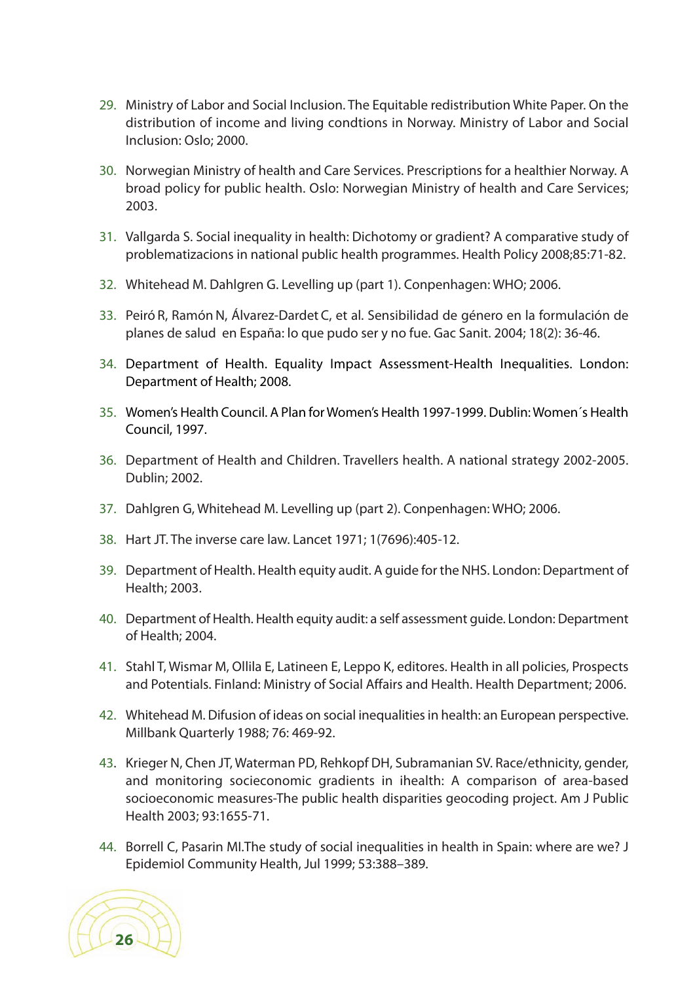- 29. Ministry of Labor and Social Inclusion. The Equitable redistribution White Paper. On the distribution of income and living condtions in Norway. Ministry of Labor and Social Inclusion: Oslo; 2000.
- 30. Norwegian Ministry of health and Care Services. Prescriptions for a healthier Norway. A broad policy for public health. Oslo: Norwegian Ministry of health and Care Services; 2003.
- 31. Vallgarda S. Social inequality in health: Dichotomy or gradient? A comparative study of problematizacions in national public health programmes. Health Policy 2008;85:71-82.
- 32. Whitehead M. Dahlgren G. Levelling up (part 1). Conpenhagen: WHO; 2006.
- 33. Peiró R, Ramón N, Álvarez-Dardet C, et al. Sensibilidad de género en la formulación de planes de salud en España: lo que pudo ser y no fue. Gac Sanit. 2004; 18(2): 36-46.
- 34. Department of Health. Equality Impact Assessment-Health Inequalities. London: Department of Health; 2008.
- 35. Women's Health Council. A Plan forWomen's Health 1997-1999. Dublin: Women´s Health Council, 1997.
- 36. Department of Health and Children. Travellers health. A national strategy 2002-2005. Dublin; 2002.
- 37. Dahlgren G, Whitehead M. Levelling up (part 2). Conpenhagen: WHO; 2006.
- 38. Hart JT. The inverse care law. Lancet 1971; 1(7696):405-12.
- 39. Department of Health. Health equity audit. A guide for the NHS. London: Department of Health; 2003.
- 40. Department of Health. Health equity audit: a self assessment guide. London: Department of Health; 2004.
- 41. Stahl T, Wismar M, Ollila E, Latineen E, Leppo K, editores. Health in all policies, Prospects and Potentials. Finland: Ministry of Social Affairs and Health. Health Department; 2006.
- 42. Whitehead M. Difusion of ideas on social inequalities in health: an European perspective. Millbank Quarterly 1988; 76: 469-92.
- 43. Krieger N, Chen JT, Waterman PD, Rehkopf DH, Subramanian SV. Race/ethnicity, gender, and monitoring socieconomic gradients in ihealth: A comparison of area-based socioeconomic measures-The public health disparities geocoding project. Am J Public Health 2003; 93:1655-71.
- 44. Borrell C, Pasarin MI.The study of social inequalities in health in Spain: where are we? J Epidemiol Community Health, Jul 1999; 53:388–389.

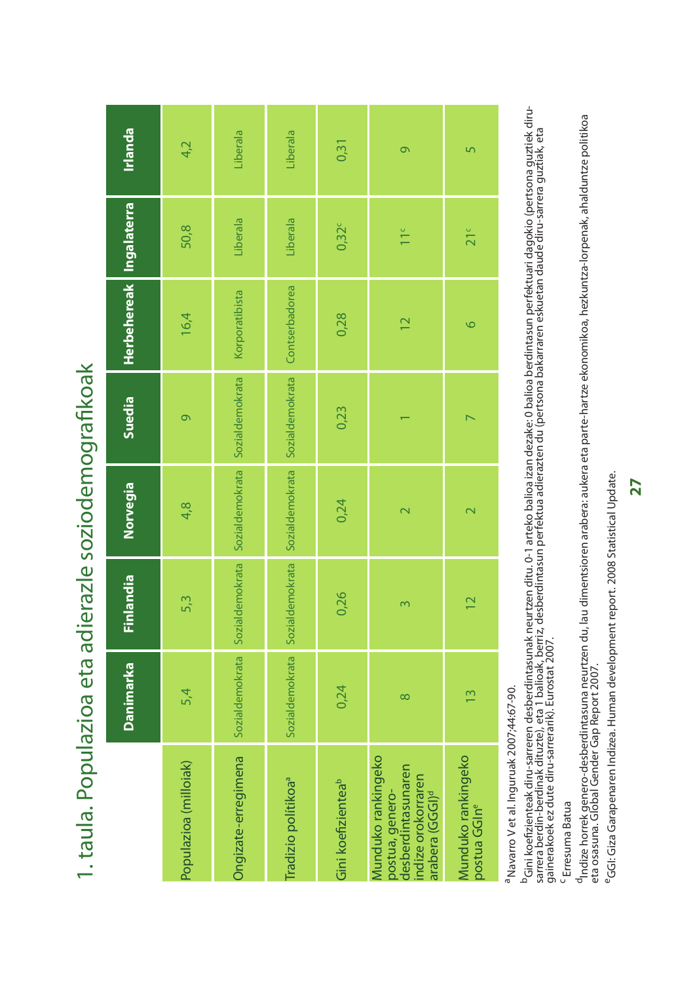1. taula. Populazioa eta adierazle soziodemografikoak 1. taula. Populazioa eta adierazle soziodemografikoak

<sup>a</sup> Navarro V et al. Inguruak 2007;44:67-90. aNavarro V et al. Inguruak 2007;44:67-90.

<sup>b</sup>Gini koefizienteak diru-sarreren desberdintasunak neurtzen ditu. 0-1 arteko balioa izan dezake: 0 balioa berdintasun perfektuari dagokio (pertsona guztiek diru-<br>sarrera berdin-berdinak dituzte), eta 1 balioak, berriz, d <sup>b</sup>Gini koefizienteak diru-sarreren desberdintasunak neurtzen ditu. 0-1 arteko balioa izan dezake: 0 balioa berdintasun perfektuari dagokio (pertsona guztiek dirusarrera berdin-berdinak dituzte), eta 1 balioak, berriz, desberdintasun perfektua adierazten du (pertsona bakarraren eskuetan daude diru-sarrera guztiak, eta gainerakoek ez dute diru-sarrerarik). Eurostat 2007.

<sup>C</sup> Erresuma Batua Erresuma Batua

<sup>d</sup>Indize horrek genero-desberdintasuna neurtzen du, lau dimentsioren arabera: aukera eta parte-hartze ekonomikoa, hezkuntza-lorpenak, ahalduntze politikoa<br>eta osasuna. Global Gender Gap Report 2007. <sup>d</sup>Indize horrek genero-desberdintasuna neurtzen du, lau dimentsioren arabera: aukera eta parte-hartze ekonomikoa, hezkuntza-lorpenak, ahalduntze politikoa eta osasuna. Global Gender Gap Report 2007.

<sup>e</sup>GGI: Giza Garapenaren Indizea. Human development report. 2008 Statistical Update. eGGI: Giza Garapenaren Indizea. Human development report. 2008 Statistical Update.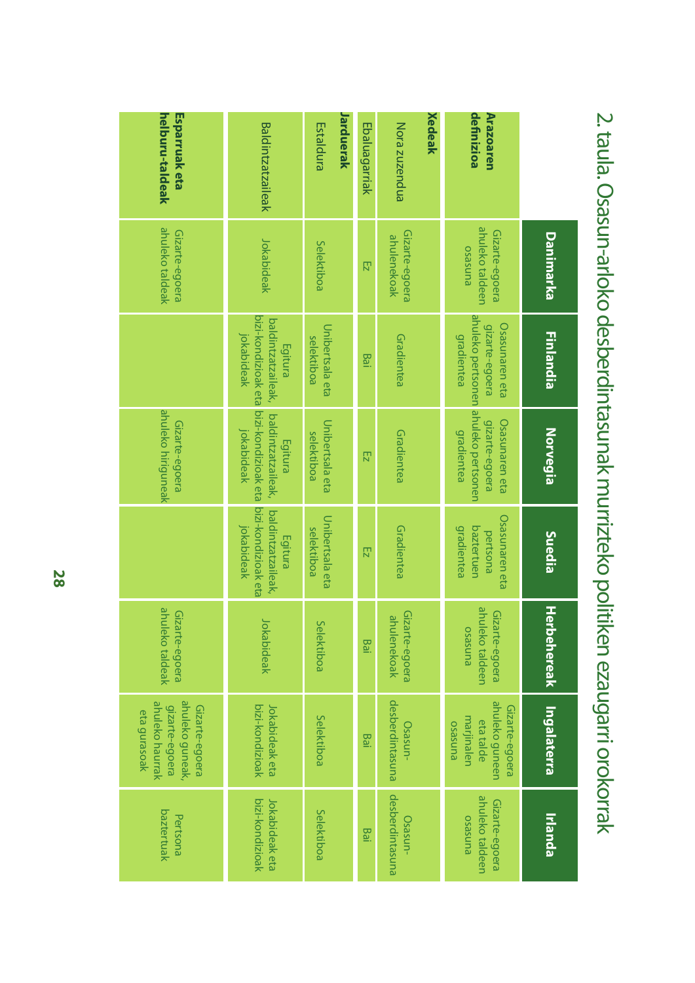|                                  | Danimarka                                    | <b>Finlandia</b>                                                                                    | Norvegia                                                                  | Suedia                                                               | <b>Herbehereak</b>                           | Ingalaterra                                                                            | <b>Irlanda</b>                               |
|----------------------------------|----------------------------------------------|-----------------------------------------------------------------------------------------------------|---------------------------------------------------------------------------|----------------------------------------------------------------------|----------------------------------------------|----------------------------------------------------------------------------------------|----------------------------------------------|
| definizioa<br>Arazoaren          | ahuleko taldeen<br>Gizarte-egoera<br>punseso | ahuleko pertsonen ahuleko pertsonen<br><b>Osasunaren eta</b><br>gizarte-egoera<br><b>gradientea</b> | Osasunaren eta<br>gizarte-egoera<br>gradientea                            | <b>Osasunaren eta</b><br><b>gradientea</b><br>baztertuen<br>pertsona | ahuleko taldeen<br>Gizarte-egoera<br>punseso | ahuleko guneen<br>Gizarte-egoera<br>marjinalen<br>eta talde<br><b>BUNSESO</b>          | ahuleko taldeen<br>Gizarte-egoera<br>punseso |
| Xedeak                           |                                              |                                                                                                     |                                                                           |                                                                      |                                              |                                                                                        |                                              |
| Nora zuzendua                    | Gizarte-egoera<br>ahulenekoak                | Gradientea                                                                                          | Gradientea                                                                | Gradientea                                                           | Gizarte-egoera<br>ahulenekoak                | desberdintasuna<br>Osasun-                                                             | desberdintasuna<br>Osasun-                   |
| Ebaluagarriak                    | $\overline{z}$                               | Bai                                                                                                 | $\overline{z}$                                                            | $\overline{z}$                                                       | Bai                                          | Bai                                                                                    | Bai                                          |
| Jarduerak<br>Estaldura           | Selektiboa                                   | Unibertsala eta<br>selektiboa                                                                       | Unibertsala eta<br>selektiboa                                             | Unibertsala eta<br>selektiboa                                        | Selektiboa                                   | Selektiboa                                                                             | Selektiboa                                   |
| <b>Baldintzatzaileak</b>         | Jokabideak                                   | bizi-kondizioak eta<br>baldintzatzaileak,<br>jokabideak<br>Egitura                                  | bizi-kondizioak eta<br>baldintzatzaileak,<br><b>Jokabideak</b><br>Egitura | bizi-kondizioak eta<br>baldintzatzaileak,<br>jokabideak<br>Egitura   | Jokabideak                                   | bizi-kondizioak<br>Jokabideak eta                                                      | bizi-kondizioak<br>Jokabideak eta            |
| helburu-taldeak<br>Esparruak eta | ahuleko taldeak<br>Gizarte-egoera            |                                                                                                     | ahuleko hiriguneak<br>Gizarte-egoera                                      |                                                                      | ahuleko taldeak<br>Gizarte-egoera            | ahuleko guneak,<br>ahuleko haurrak<br>gizarte-egoera<br>Gizarte-egoera<br>eta gurasoak | baztertuak<br>Pertsona                       |

2. taula. Osasun-arloko desberdintasunak murrizteko politiken ezaugarri orokorrak 2.taula.Osasun-arlokodesberdintasunakmurriztekopolitikenezaugarriorokorrak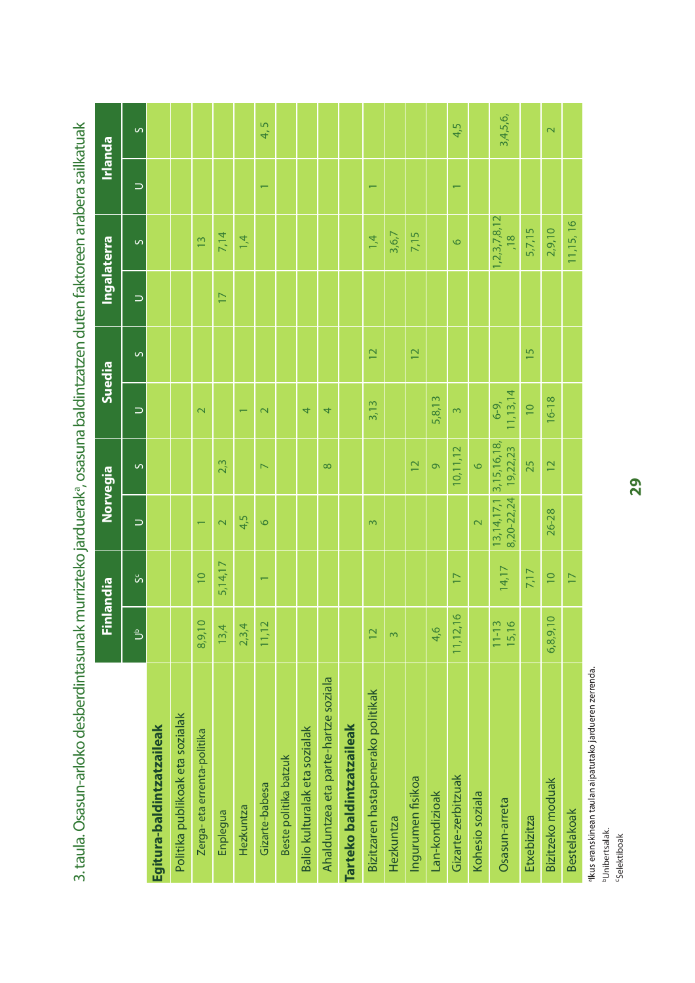|                                      |                 | Finlandia                |                          | Norvegia                                | Suedia                   |                 |                 | <b>Ingalaterra</b>                  |                          | Irlanda                 |
|--------------------------------------|-----------------|--------------------------|--------------------------|-----------------------------------------|--------------------------|-----------------|-----------------|-------------------------------------|--------------------------|-------------------------|
|                                      | $\Rightarrow$   | <sub>ს</sub>             | $\Rightarrow$            | $\circ$                                 | $\Rightarrow$            | $\circ$         | $\Rightarrow$   | $\sim$                              | $\Rightarrow$            | $\circ$                 |
| Egitura-baldintzatzaileak            |                 |                          |                          |                                         |                          |                 |                 |                                     |                          |                         |
| Politika publikoak eta sozialak      |                 |                          |                          |                                         |                          |                 |                 |                                     |                          |                         |
| Zerga-eta errenta-politika           | 8,9,10          | $\overline{10}$          | $\overline{\phantom{0}}$ |                                         | $\overline{\mathbf{C}}$  |                 |                 | $\frac{2}{3}$                       |                          |                         |
| Enplegua                             | 13,4            | 5,14,17                  | $\overline{\mathbf{C}}$  | 2,3                                     |                          |                 | $\overline{17}$ | 7,14                                |                          |                         |
| Hezkuntza                            | 2,3,4           |                          | 4,5                      |                                         | $\overline{\phantom{0}}$ |                 |                 | 1,4                                 |                          |                         |
| Gizarte-babesa                       | 11, 12          | $\overline{\phantom{0}}$ | $\circ$                  | $\overline{ }$                          | $\overline{\mathsf{C}}$  |                 |                 |                                     | $\overline{\phantom{0}}$ | 4,5                     |
| Beste politika batzuk                |                 |                          |                          |                                         |                          |                 |                 |                                     |                          |                         |
| Balio kulturalak eta sozialak        |                 |                          |                          |                                         | 4                        |                 |                 |                                     |                          |                         |
| Ahalduntzea eta parte-hartze soziala |                 |                          |                          | $\infty$                                | 4                        |                 |                 |                                     |                          |                         |
| Tarteko baldintzatzaileak            |                 |                          |                          |                                         |                          |                 |                 |                                     |                          |                         |
| Bizitzaren hastapenerako politikak   | $\overline{12}$ |                          | $\infty$                 |                                         | 3,13                     | $\overline{12}$ |                 | 1,4                                 | $\overline{\phantom{0}}$ |                         |
| <b>Hezkuntza</b>                     | $\infty$        |                          |                          |                                         |                          |                 |                 | 3,6,7                               |                          |                         |
| Ingurumen fisikoa                    |                 |                          |                          | $\overline{2}$                          |                          | $\overline{12}$ |                 | 7,15                                |                          |                         |
| Lan-kondizioak                       | 4,6             |                          |                          | $\sigma$                                | 5,8,13                   |                 |                 |                                     |                          |                         |
| Gizarte-zerbitzuak                   | 11,12,16        | $\overline{17}$          |                          | 10, 11, 12                              | 3                        |                 |                 | $\circ$                             | $\overline{\phantom{0}}$ | 4,5                     |
| Kohesio soziala                      |                 |                          | $\overline{\mathsf{C}}$  | $\circ$                                 |                          |                 |                 |                                     |                          |                         |
| Osasun-arreta                        | 11-13<br>15,16  | 14,17                    | 8,20-22,24               | 13, 14, 17, 13, 15, 16, 18,<br>19,22,23 | 11, 13, 14<br>$6 - 9,$   |                 |                 | 1, 2, 3, 7, 8, 12<br>$\frac{8}{18}$ |                          | 3,4,5,6,                |
| Etxebizitza                          |                 | 7,17                     |                          | 25                                      | $\overline{10}$          | 15              |                 | 5,7,15                              |                          |                         |
| Bizitzeko moduak                     | 6,8,9,10        | $\overline{0}$           | 26-28                    | $\overline{2}$                          | $16 - 18$                |                 |                 | 2,9,10                              |                          | $\overline{\mathbf{C}}$ |
| <b>Bestelakoak</b>                   |                 | $\overline{17}$          |                          |                                         |                          |                 |                 | 11,15,16                            |                          |                         |

3. taula. Osasun-arloko desberdintasunak murrizteko jarduerak<sup>a</sup>, osasuna baldintzatzen duten faktoreen arabera sailkatuak 3. taula. Osasun-arloko desberdintasunak murrizteko jarduerak<sup>a</sup>, osasuna baldintzatzen duten faktoreen arabera sailkatuak

akus eranskinean taulan aipatutako jardueren zerrenda. aIkus eranskinean taulan aipatutako jardueren zerrenda.

<sup>b</sup>Unibertsalak.<br><sup>c</sup>Selektiboak bUnibertsalak.

cSelektiboak

**29**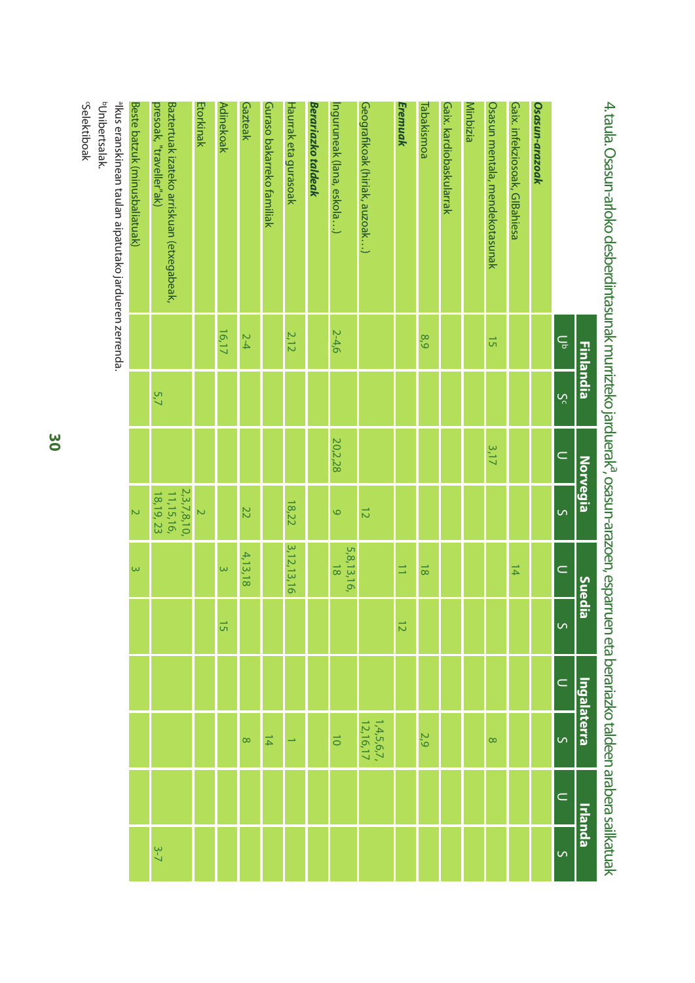|                                                                     | <b>Finlandia</b> |     | <b>Norvegia</b> |                                        | Suedia                       |                | <u>Ingalaterra</u> |                            | Irlanda   |                |
|---------------------------------------------------------------------|------------------|-----|-----------------|----------------------------------------|------------------------------|----------------|--------------------|----------------------------|-----------|----------------|
|                                                                     | ځ<br>ځ           | Š   | $\subset$       | S                                      | $\subset$                    | $\overline{S}$ | $\subset$          | $\overline{S}$             | $\subset$ | $\overline{a}$ |
| Osasun-arazoak                                                      |                  |     |                 |                                        |                              |                |                    |                            |           |                |
| Gaix. infekziosoak, GIBahiesa                                       |                  |     |                 |                                        | $\frac{1}{4}$                |                |                    |                            |           |                |
| Osasun mentala, mendekotasunak                                      | G                |     | 3,17            |                                        |                              |                |                    | $\infty$                   |           |                |
| Minbizia                                                            |                  |     |                 |                                        |                              |                |                    |                            |           |                |
| Gaix. kardiobaskularrak                                             |                  |     |                 |                                        |                              |                |                    |                            |           |                |
| Tabakismoa                                                          | 8.9              |     |                 |                                        | $\frac{1}{8}$                |                |                    | 2,9                        |           |                |
| Eremuak                                                             |                  |     |                 |                                        | $\equiv$                     | $\overline{z}$ |                    |                            |           |                |
| Geografikoak (hiriak, auzoak)                                       |                  |     |                 | $\overline{5}$                         |                              |                |                    | $1,4,5,6,7,$<br>12, 16, 17 |           |                |
| Inguruneak (lana, eskola)                                           | 2-4,6            |     | 20,2,28         | $\circ$                                | 5,8,13,16,<br>$\overline{8}$ |                |                    | $\vec{0}$                  |           |                |
| Berariazko taldeak                                                  |                  |     |                 |                                        |                              |                |                    |                            |           |                |
| Haurrak eta gurasoak                                                | 2,12             |     |                 | 18,22                                  | 3,12,13,16                   |                |                    |                            |           |                |
| Guraso bakarreko familiak                                           |                  |     |                 |                                        |                              |                |                    | $\frac{1}{4}$              |           |                |
| Gazteak                                                             | $2-4$            |     |                 | 22                                     | 4,13,18                      |                |                    | $\infty$                   |           |                |
| <b>Adinekoak</b>                                                    | 16,17            |     |                 |                                        | $\overline{\omega}$          | $\vec{5}$      |                    |                            |           |                |
| Etorkinak                                                           |                  |     |                 | $\triangleright$                       |                              |                |                    |                            |           |                |
| Baztertuak izateko arriskuan (etxegabeak,<br>presoak,"traveller"ak) |                  | 5,7 |                 | 2,3,7,8,10,<br>11,15,16,<br>18, 19, 23 |                              |                |                    |                            |           | $3 - 7$        |
| Beste batzuk (minusbaliatuak)                                       |                  |     |                 | $\overline{\mathsf{C}}$                | $\overline{\omega}$          |                |                    |                            |           |                |
| $\frac{1}{2}$<br>ŗ<br>$\frac{1}{2}$<br>$\frac{1}{2}$                |                  |     |                 |                                        |                              |                |                    |                            |           |                |

4. taula. Osasun-arloko desberdintasunak murrizteko jarduerak<sup>a</sup>, osasun-arazoen, esparruen eta berariazko taldeen arabera sailkatuak 4. taula. Osasun-arloko desberdintasunak murrizteko jarduerak<sup>a</sup>, osasun-arazoen, esparruen eta berariazko taldeen arabera sailkatuak

aIkus eranskinean taulan aipatutako jardueren zerrenda.

bUnibertsalak. bUnibertsalak.

Selektiboak cSelektiboak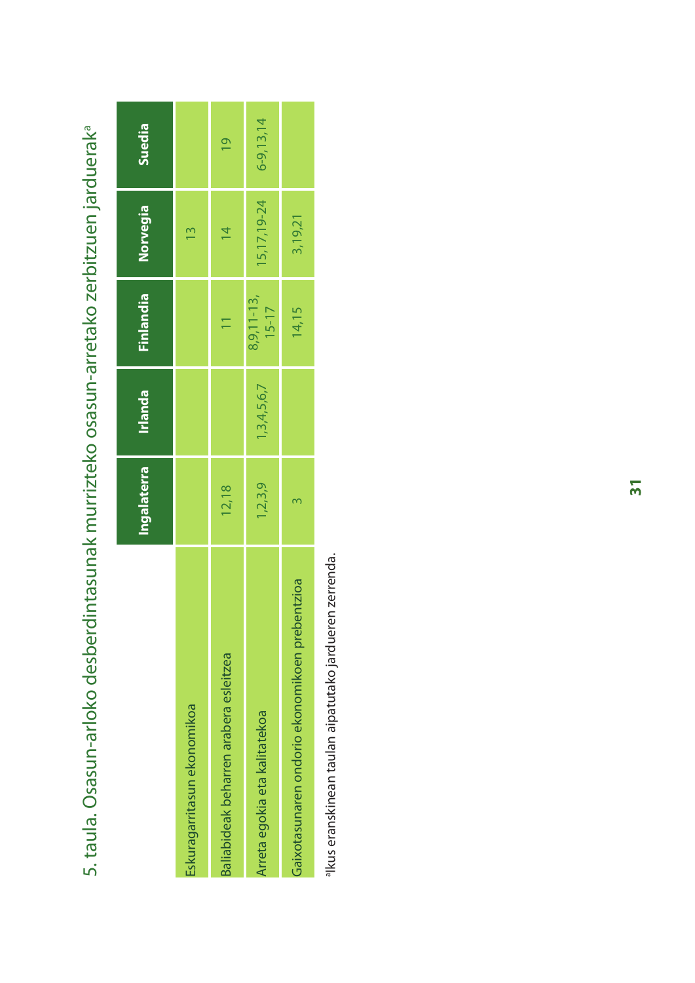|                                                | Ingalaterra | Irlanda     | Finlandia               | Norvegia      | Suedia        |
|------------------------------------------------|-------------|-------------|-------------------------|---------------|---------------|
| Eskuragarritasun ekonomikoa                    |             |             |                         | $\frac{1}{2}$ |               |
| Baliabideak beharren arabera esleitzea         | 12,18       |             | $\overline{1}$          | $\frac{4}{3}$ | $\frac{1}{2}$ |
| Arreta egokia eta kalitatekoa                  | 1,2,3,9     | 1,3,4,5,6,7 | $8,9,11-13,$<br>$15-17$ | 15, 17, 19-24 | $6-9,13,14$   |
| Gaixotasunaren ondorio ekonomikoen prebentzioa |             |             | 14,15                   | 3,19,21       |               |
|                                                |             |             |                         |               |               |

5. taula. Osasun-arloko desberdintasunak murrizteko osasun-arretako zerbitzuen jarduerak<sup>a</sup> 5. taula. Osasun-arloko desberdintasunak murrizteko osasun-arretako zerbitzuen jardueraka

alkus eranskinean taulan aipatutako jardueren zerrenda. aIkus eranskinean taulan aipatutako jardueren zerrenda.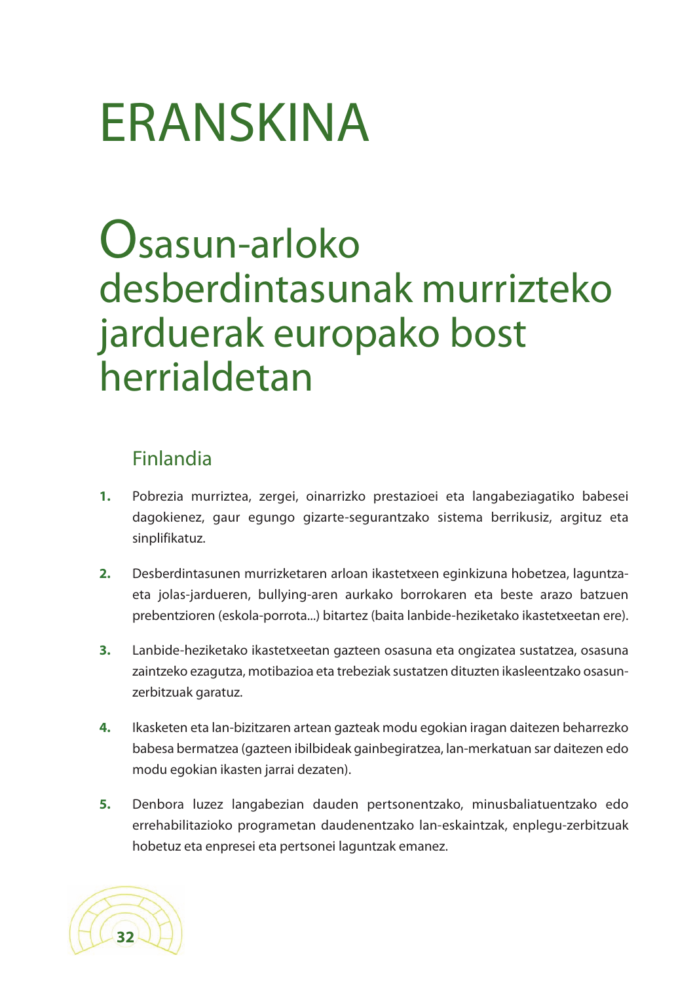# ERANSKINA

## Osasun-arloko desberdintasunak murrizteko jarduerak europako bost herrialdetan

#### Finlandia

- **1.** Pobrezia murriztea, zergei, oinarrizko prestazioei eta langabeziagatiko babesei dagokienez, gaur egungo gizarte-segurantzako sistema berrikusiz, argituz eta sinplifikatuz.
- **2.** Desberdintasunen murrizketaren arloan ikastetxeen eginkizuna hobetzea, laguntzaeta jolas-jardueren, bullying-aren aurkako borrokaren eta beste arazo batzuen prebentzioren (eskola-porrota...) bitartez (baita lanbide-heziketako ikastetxeetan ere).
- **3.** Lanbide-heziketako ikastetxeetan gazteen osasuna eta ongizatea sustatzea, osasuna zaintzeko ezagutza, motibazioa eta trebeziak sustatzen dituzten ikasleentzako osasunzerbitzuak garatuz.
- **4.** Ikasketen eta lan-bizitzaren artean gazteak modu egokian iragan daitezen beharrezko babesa bermatzea (gazteen ibilbideak gainbegiratzea, lan-merkatuan sar daitezen edo modu egokian ikasten jarrai dezaten).
- **5.** Denbora luzez langabezian dauden pertsonentzako, minusbaliatuentzako edo errehabilitazioko programetan daudenentzako lan-eskaintzak, enplegu-zerbitzuak hobetuz eta enpresei eta pertsonei laguntzak emanez.

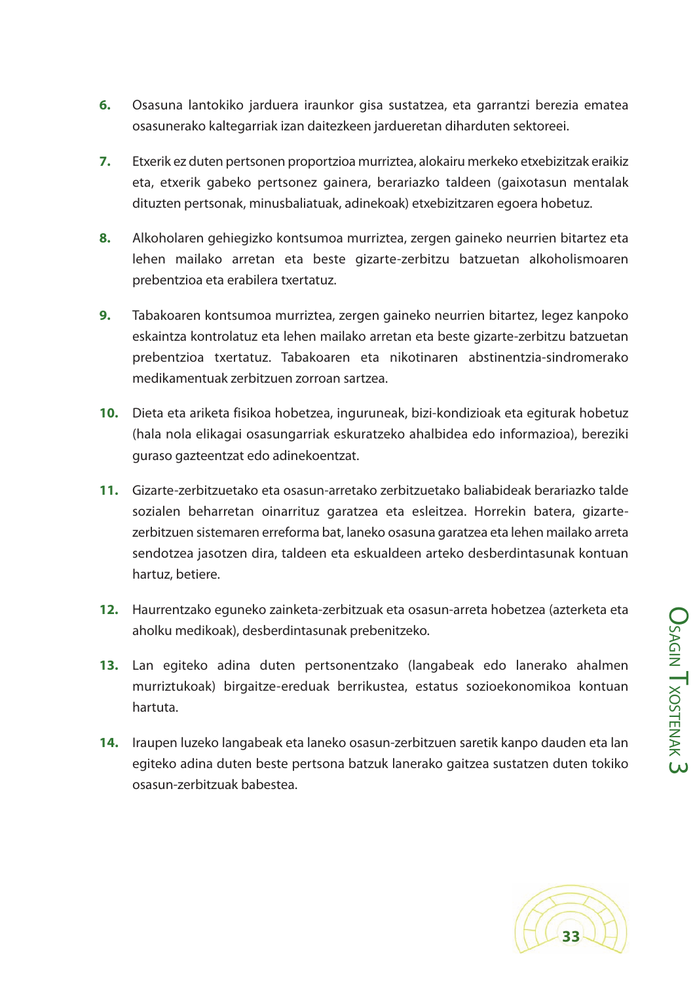- **6.** Osasuna lantokiko jarduera iraunkor gisa sustatzea, eta garrantzi berezia ematea osasunerako kaltegarriak izan daitezkeen jardueretan diharduten sektoreei.
- **7.** Etxerik ez duten pertsonen proportzioa murriztea, alokairu merkeko etxebizitzak eraikiz eta, etxerik gabeko pertsonez gainera, berariazko taldeen (gaixotasun mentalak dituzten pertsonak, minusbaliatuak, adinekoak) etxebizitzaren egoera hobetuz.
- **8.** Alkoholaren gehiegizko kontsumoa murriztea, zergen gaineko neurrien bitartez eta lehen mailako arretan eta beste gizarte-zerbitzu batzuetan alkoholismoaren prebentzioa eta erabilera txertatuz.
- **9.** Tabakoaren kontsumoa murriztea, zergen gaineko neurrien bitartez, legez kanpoko eskaintza kontrolatuz eta lehen mailako arretan eta beste gizarte-zerbitzu batzuetan prebentzioa txertatuz. Tabakoaren eta nikotinaren abstinentzia-sindromerako medikamentuak zerbitzuen zorroan sartzea.
- **10.** Dieta eta ariketa fisikoa hobetzea, inguruneak, bizi-kondizioak eta egiturak hobetuz (hala nola elikagai osasungarriak eskuratzeko ahalbidea edo informazioa), bereziki guraso gazteentzat edo adinekoentzat.
- **11.** Gizarte-zerbitzuetako eta osasun-arretako zerbitzuetako baliabideak berariazko talde sozialen beharretan oinarrituz garatzea eta esleitzea. Horrekin batera, gizartezerbitzuen sistemaren erreforma bat, laneko osasuna garatzea eta lehen mailako arreta sendotzea jasotzen dira, taldeen eta eskualdeen arteko desberdintasunak kontuan hartuz, betiere.
- **12.** Haurrentzako eguneko zainketa-zerbitzuak eta osasun-arreta hobetzea (azterketa eta aholku medikoak), desberdintasunak prebenitzeko.
- **13.** Lan egiteko adina duten pertsonentzako (langabeak edo lanerako ahalmen murriztukoak) birgaitze-ereduak berrikustea, estatus sozioekonomikoa kontuan hartuta.
- **14.** Iraupen luzeko langabeak eta laneko osasun-zerbitzuen saretik kanpo dauden eta lan egiteko adina duten beste pertsona batzuk lanerako gaitzea sustatzen duten tokiko osasun-zerbitzuak babestea.

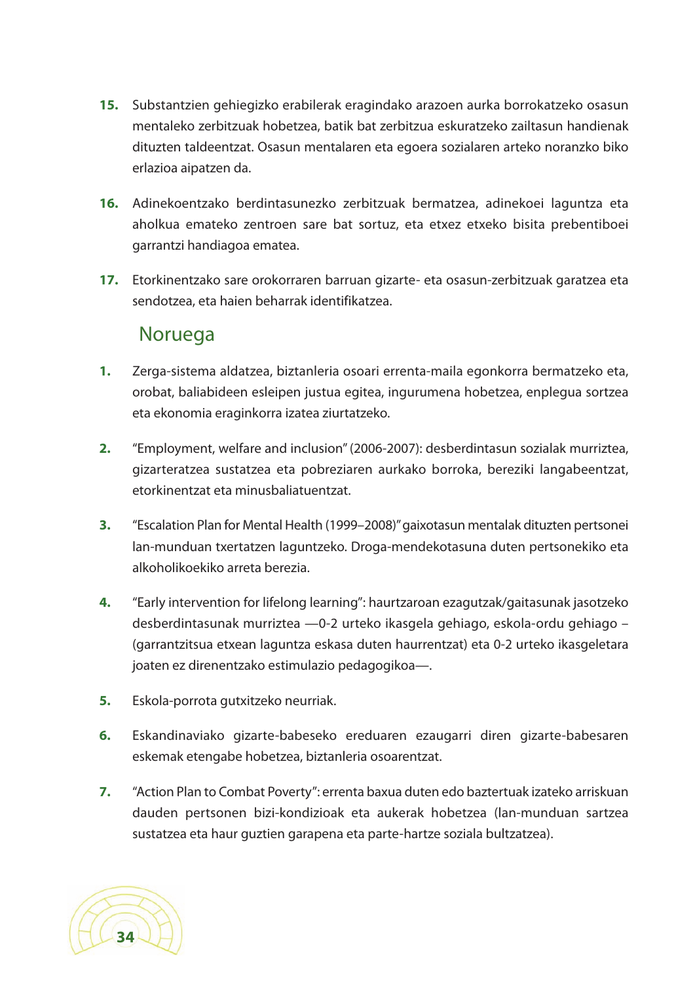- **15.** Substantzien gehiegizko erabilerak eragindako arazoen aurka borrokatzeko osasun mentaleko zerbitzuak hobetzea, batik bat zerbitzua eskuratzeko zailtasun handienak dituzten taldeentzat. Osasun mentalaren eta egoera sozialaren arteko noranzko biko erlazioa aipatzen da.
- **16.** Adinekoentzako berdintasunezko zerbitzuak bermatzea, adinekoei laguntza eta aholkua emateko zentroen sare bat sortuz, eta etxez etxeko bisita prebentiboei garrantzi handiagoa ematea.
- **17.** Etorkinentzako sare orokorraren barruan gizarte- eta osasun-zerbitzuak garatzea eta sendotzea, eta haien beharrak identifikatzea.

#### Noruega

- **1.** Zerga-sistema aldatzea, biztanleria osoari errenta-maila egonkorra bermatzeko eta, orobat, baliabideen esleipen justua egitea, ingurumena hobetzea, enplegua sortzea eta ekonomia eraginkorra izatea ziurtatzeko.
- **2.** "Employment, welfare and inclusion"(2006-2007): desberdintasun sozialak murriztea, gizarteratzea sustatzea eta pobreziaren aurkako borroka, bereziki langabeentzat, etorkinentzat eta minusbaliatuentzat.
- **3.** "Escalation Plan for Mental Health (1999–2008)"gaixotasun mentalak dituzten pertsonei lan-munduan txertatzen laguntzeko. Droga-mendekotasuna duten pertsonekiko eta alkoholikoekiko arreta berezia.
- **4.** "Early intervention for lifelong learning": haurtzaroan ezagutzak/gaitasunak jasotzeko desberdintasunak murriztea —0-2 urteko ikasgela gehiago, eskola-ordu gehiago – (garrantzitsua etxean laguntza eskasa duten haurrentzat) eta 0-2 urteko ikasgeletara joaten ez direnentzako estimulazio pedagogikoa—.
- **5.** Eskola-porrota gutxitzeko neurriak.
- **6.** Eskandinaviako gizarte-babeseko ereduaren ezaugarri diren gizarte-babesaren eskemak etengabe hobetzea, biztanleria osoarentzat.
- **7.** "Action Plan to Combat Poverty": errenta baxua duten edo baztertuak izateko arriskuan dauden pertsonen bizi-kondizioak eta aukerak hobetzea (lan-munduan sartzea sustatzea eta haur guztien garapena eta parte-hartze soziala bultzatzea).

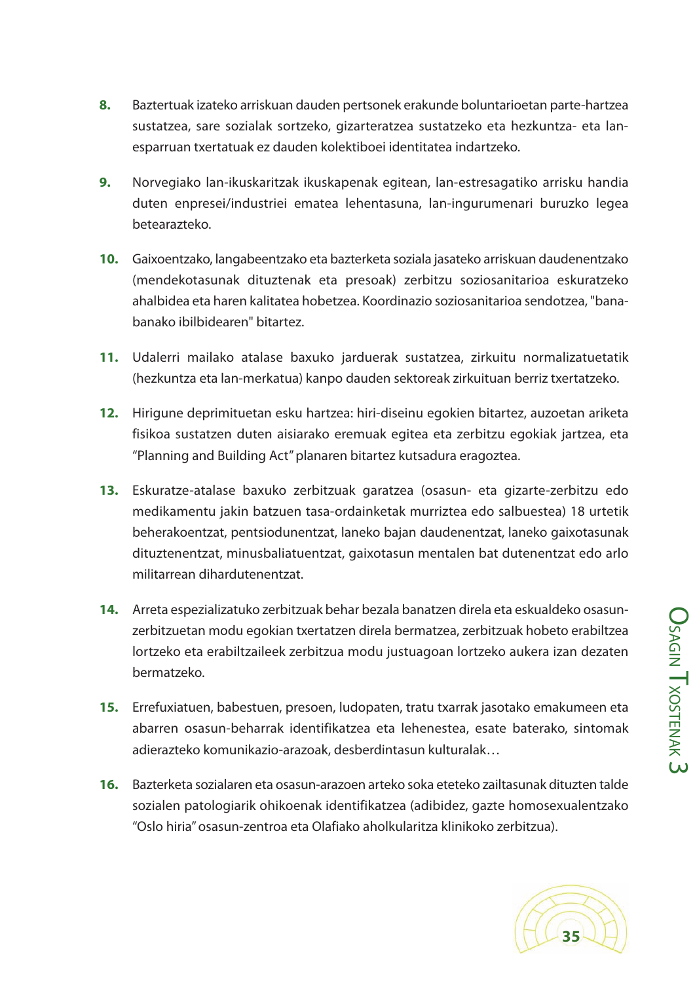**O<sub>SA</sub>** 

 $\stackrel{\textstyle\Omega}{\equiv}$ 

T<sub>XOSTEN</sub>

A K  $\overline{\mathsf{c}}$ 

- **8.** Baztertuak izateko arriskuan dauden pertsonek erakunde boluntarioetan parte-hartzea sustatzea, sare sozialak sortzeko, gizarteratzea sustatzeko eta hezkuntza- eta lanesparruan txertatuak ez dauden kolektiboei identitatea indartzeko.
- **9.** Norvegiako lan-ikuskaritzak ikuskapenak egitean, lan-estresagatiko arrisku handia duten enpresei/industriei ematea lehentasuna, lan-ingurumenari buruzko legea betearazteko.
- **10.** Gaixoentzako, langabeentzako eta bazterketa soziala jasateko arriskuan daudenentzako (mendekotasunak dituztenak eta presoak) zerbitzu soziosanitarioa eskuratzeko ahalbidea eta haren kalitatea hobetzea. Koordinazio soziosanitarioa sendotzea, "banabanako ibilbidearen" bitartez.
- **11.** Udalerri mailako atalase baxuko jarduerak sustatzea, zirkuitu normalizatuetatik (hezkuntza eta lan-merkatua) kanpo dauden sektoreak zirkuituan berriz txertatzeko.
- **12.** Hirigune deprimituetan esku hartzea: hiri-diseinu egokien bitartez, auzoetan ariketa fisikoa sustatzen duten aisiarako eremuak egitea eta zerbitzu egokiak jartzea, eta "Planning and Building Act"planaren bitartez kutsadura eragoztea.
- **13.** Eskuratze-atalase baxuko zerbitzuak garatzea (osasun- eta gizarte-zerbitzu edo medikamentu jakin batzuen tasa-ordainketak murriztea edo salbuestea) 18 urtetik beherakoentzat, pentsiodunentzat, laneko bajan daudenentzat, laneko gaixotasunak dituztenentzat, minusbaliatuentzat, gaixotasun mentalen bat dutenentzat edo arlo militarrean dihardutenentzat.
- **14.** Arreta espezializatuko zerbitzuak behar bezala banatzen direla eta eskualdeko osasunzerbitzuetan modu egokian txertatzen direla bermatzea, zerbitzuak hobeto erabiltzea lortzeko eta erabiltzaileek zerbitzua modu justuagoan lortzeko aukera izan dezaten bermatzeko.
- **15.** Errefuxiatuen, babestuen, presoen, ludopaten, tratu txarrak jasotako emakumeen eta abarren osasun-beharrak identifikatzea eta lehenestea, esate baterako, sintomak adierazteko komunikazio-arazoak, desberdintasun kulturalak…
- **16.** Bazterketa sozialaren eta osasun-arazoen arteko soka eteteko zailtasunak dituzten talde sozialen patologiarik ohikoenak identifikatzea (adibidez, gazte homosexualentzako "Oslo hiria"osasun-zentroa eta Olafiako aholkularitza klinikoko zerbitzua).

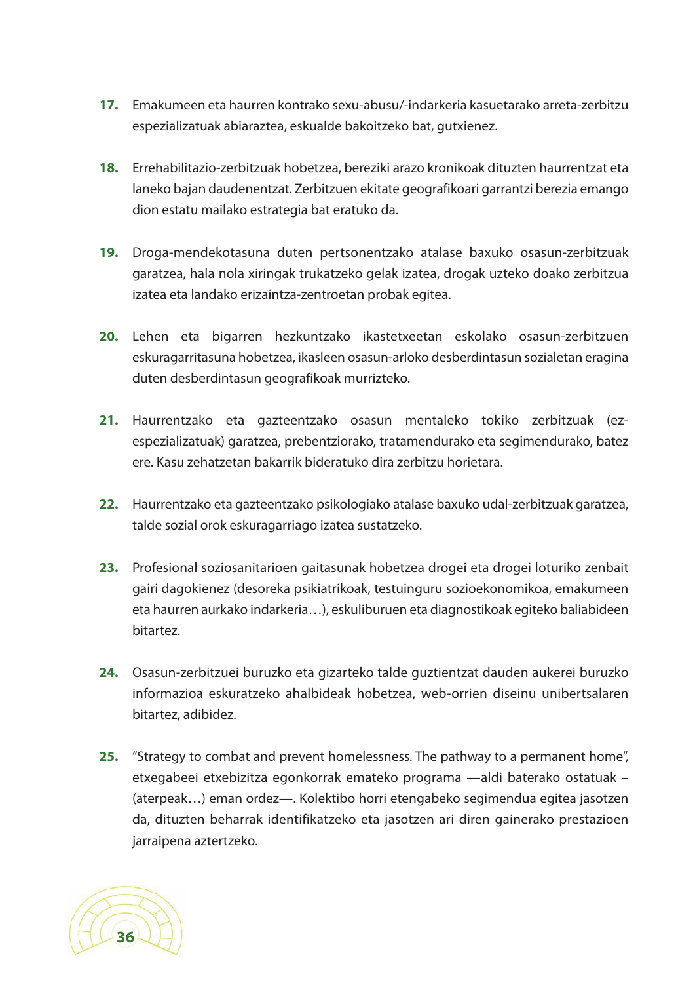- **17.** Emakumeen eta haurren kontrako sexu-abusu/-indarkeria kasuetarako arreta-zerbitzu espezializatuak abiaraztea, eskualde bakoitzeko bat, gutxienez.
- **18.** Errehabilitazio-zerbitzuak hobetzea, bereziki arazo kronikoak dituzten haurrentzat eta laneko bajan daudenentzat. Zerbitzuen ekitate geografikoari garrantzi berezia emango dion estatu mailako estrategia bat eratuko da.
- **19.** Droga-mendekotasuna duten pertsonentzako atalase baxuko osasun-zerbitzuak garatzea, hala nola xiringak trukatzeko gelak izatea, drogak uzteko doako zerbitzua izatea eta landako erizaintza-zentroetan probak egitea.
- **20.** Lehen eta bigarren hezkuntzako ikastetxeetan eskolako osasun-zerbitzuen eskuragarritasuna hobetzea, ikasleen osasun-arloko desberdintasun sozialetan eragina duten desberdintasun geografikoak murrizteko.
- **21.** Haurrentzako eta gazteentzako osasun mentaleko tokiko zerbitzuak (ezespezializatuak) garatzea, prebentziorako, tratamendurako eta segimendurako, batez ere. Kasu zehatzetan bakarrik bideratuko dira zerbitzu horietara.
- **22.** Haurrentzako eta gazteentzako psikologiako atalase baxuko udal-zerbitzuak garatzea, talde sozial orok eskuragarriago izatea sustatzeko.
- **23.** Profesional soziosanitarioen gaitasunak hobetzea drogei eta drogei loturiko zenbait gairi dagokienez (desoreka psikiatrikoak, testuinguru sozioekonomikoa, emakumeen eta haurren aurkako indarkeria…), eskuliburuen eta diagnostikoak egiteko baliabideen bitartez.
- **24.** Osasun-zerbitzuei buruzko eta gizarteko talde guztientzat dauden aukerei buruzko informazioa eskuratzeko ahalbideak hobetzea, web-orrien diseinu unibertsalaren bitartez, adibidez.
- **25.** "Strategy to combat and prevent homelessness. The pathway to a permanent home", etxegabeei etxebizitza egonkorrak emateko programa —aldi baterako ostatuak – (aterpeak…) eman ordez—. Kolektibo horri etengabeko segimendua egitea jasotzen da, dituzten beharrak identifikatzeko eta jasotzen ari diren gainerako prestazioen jarraipena aztertzeko.

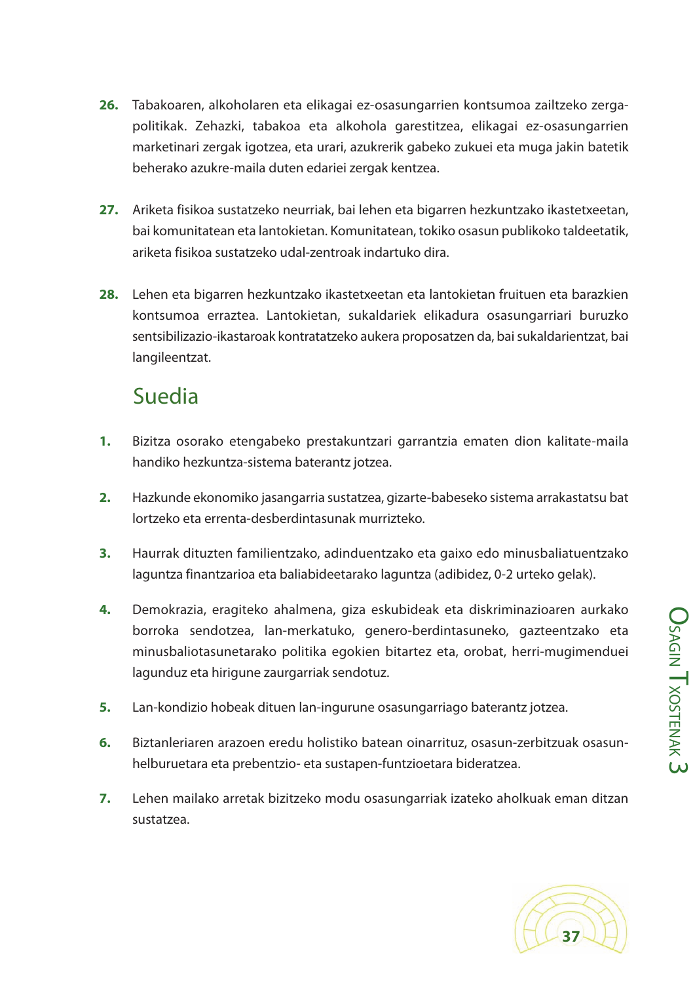**27.** Ariketa fisikoa sustatzeko neurriak, bai lehen eta bigarren hezkuntzako ikastetxeetan, bai komunitatean eta lantokietan. Komunitatean, tokiko osasun publikoko taldeetatik, ariketa fisikoa sustatzeko udal-zentroak indartuko dira. **28.** Lehen eta bigarren hezkuntzako ikastetxeetan eta lantokietan fruituen eta barazkien kontsumoa erraztea. Lantokietan, sukaldariek elikadura osasungarriari buruzko sentsibilizazio-ikastaroak kontratatzeko aukera proposatzen da, bai sukaldarientzat, bai

#### Suedia

langileentzat.

**1.** Bizitza osorako etengabeko prestakuntzari garrantzia ematen dion kalitate-maila handiko hezkuntza-sistema baterantz jotzea.

**26.** Tabakoaren, alkoholaren eta elikagai ez-osasungarrien kontsumoa zailtzeko zerga-

beherako azukre-maila duten edariei zergak kentzea.

politikak. Zehazki, tabakoa eta alkohola garestitzea, elikagai ez-osasungarrien marketinari zergak igotzea, eta urari, azukrerik gabeko zukuei eta muga jakin batetik

- **2.** Hazkunde ekonomiko jasangarria sustatzea, gizarte-babeseko sistema arrakastatsu bat lortzeko eta errenta-desberdintasunak murrizteko.
- **3.** Haurrak dituzten familientzako, adinduentzako eta gaixo edo minusbaliatuentzako laguntza finantzarioa eta baliabideetarako laguntza (adibidez, 0-2 urteko gelak).
- **4.** Demokrazia, eragiteko ahalmena, giza eskubideak eta diskriminazioaren aurkako borroka sendotzea, lan-merkatuko, genero-berdintasuneko, gazteentzako eta minusbaliotasunetarako politika egokien bitartez eta, orobat, herri-mugimenduei lagunduz eta hirigune zaurgarriak sendotuz.
- **5.** Lan-kondizio hobeak dituen lan-ingurune osasungarriago baterantz jotzea.
- **6.** Biztanleriaren arazoen eredu holistiko batean oinarrituz, osasun-zerbitzuak osasunhelburuetara eta prebentzio- eta sustapen-funtzioetara bideratzea.
- **7.** Lehen mailako arretak bizitzeko modu osasungarriak izateko aholkuak eman ditzan sustatzea.

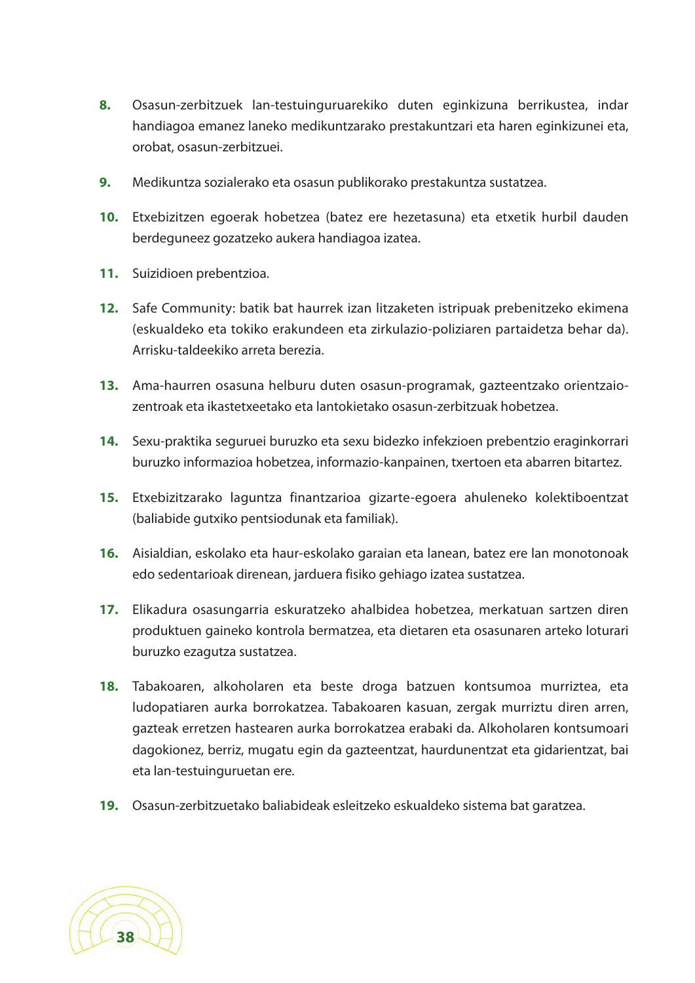- **8.** Osasun-zerbitzuek lan-testuinguruarekiko duten eginkizuna berrikustea, indar handiagoa emanez laneko medikuntzarako prestakuntzari eta haren eginkizunei eta, orobat, osasun-zerbitzuei.
- **9.** Medikuntza sozialerako eta osasun publikorako prestakuntza sustatzea.
- **10.** Etxebizitzen egoerak hobetzea (batez ere hezetasuna) eta etxetik hurbil dauden berdeguneez gozatzeko aukera handiagoa izatea.
- **11.** Suizidioen prebentzioa.
- **12.** Safe Community: batik bat haurrek izan litzaketen istripuak prebenitzeko ekimena (eskualdeko eta tokiko erakundeen eta zirkulazio-poliziaren partaidetza behar da). Arrisku-taldeekiko arreta berezia.
- **13.** Ama-haurren osasuna helburu duten osasun-programak, gazteentzako orientzaiozentroak eta ikastetxeetako eta lantokietako osasun-zerbitzuak hobetzea.
- **14.** Sexu-praktika seguruei buruzko eta sexu bidezko infekzioen prebentzio eraginkorrari buruzko informazioa hobetzea, informazio-kanpainen, txertoen eta abarren bitartez.
- **15.** Etxebizitzarako laguntza finantzarioa gizarte-egoera ahuleneko kolektiboentzat (baliabide gutxiko pentsiodunak eta familiak).
- **16.** Aisialdian, eskolako eta haur-eskolako garaian eta lanean, batez ere lan monotonoak edo sedentarioak direnean, jarduera fisiko gehiago izatea sustatzea.
- **17.** Elikadura osasungarria eskuratzeko ahalbidea hobetzea, merkatuan sartzen diren produktuen gaineko kontrola bermatzea, eta dietaren eta osasunaren arteko loturari buruzko ezagutza sustatzea.
- **18.** Tabakoaren, alkoholaren eta beste droga batzuen kontsumoa murriztea, eta ludopatiaren aurka borrokatzea. Tabakoaren kasuan, zergak murriztu diren arren, gazteak erretzen hastearen aurka borrokatzea erabaki da. Alkoholaren kontsumoari dagokionez, berriz, mugatu egin da gazteentzat, haurdunentzat eta gidarientzat, bai eta lan-testuinguruetan ere.
- **19.** Osasun-zerbitzuetako baliabideak esleitzeko eskualdeko sistema bat garatzea.

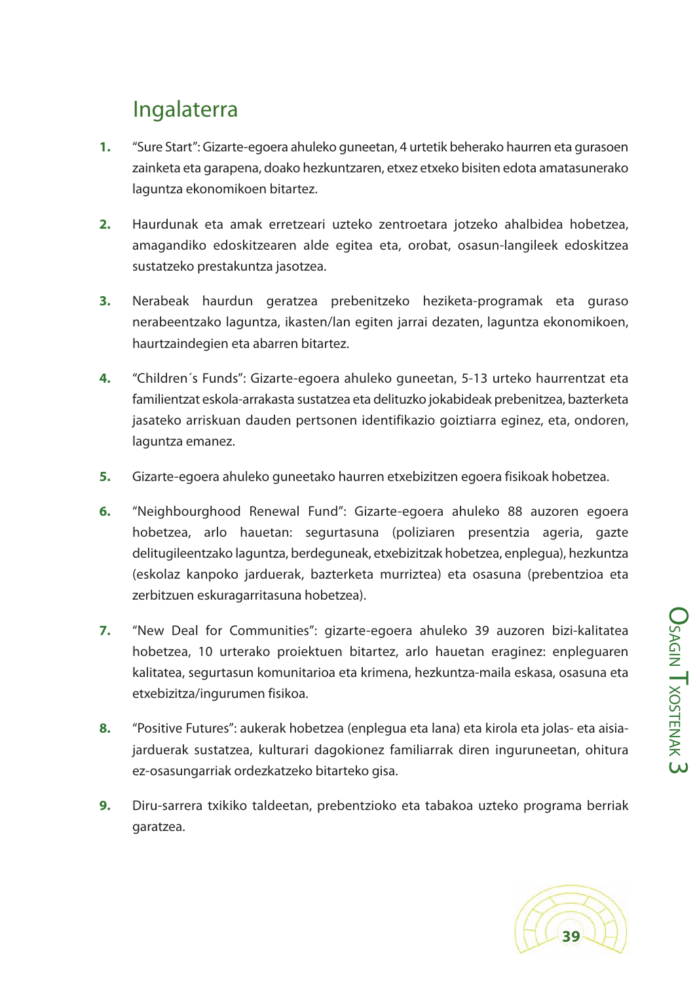#### Ingalaterra

- **1.** "Sure Start": Gizarte-egoera ahuleko guneetan, 4 urtetik beherako haurren eta gurasoen zainketa eta garapena, doako hezkuntzaren, etxez etxeko bisiten edota amatasunerako laguntza ekonomikoen bitartez.
- **2.** Haurdunak eta amak erretzeari uzteko zentroetara jotzeko ahalbidea hobetzea, amagandiko edoskitzearen alde egitea eta, orobat, osasun-langileek edoskitzea sustatzeko prestakuntza jasotzea.
- **3.** Nerabeak haurdun geratzea prebenitzeko heziketa-programak eta guraso nerabeentzako laguntza, ikasten/lan egiten jarrai dezaten, laguntza ekonomikoen, haurtzaindegien eta abarren bitartez.
- **4.** "Children´s Funds": Gizarte-egoera ahuleko guneetan, 5-13 urteko haurrentzat eta familientzat eskola-arrakasta sustatzea eta delituzko jokabideak prebenitzea, bazterketa jasateko arriskuan dauden pertsonen identifikazio goiztiarra eginez, eta, ondoren, laguntza emanez.
- **5.** Gizarte-egoera ahuleko guneetako haurren etxebizitzen egoera fisikoak hobetzea.
- **6.** "Neighbourghood Renewal Fund": Gizarte-egoera ahuleko 88 auzoren egoera hobetzea, arlo hauetan: segurtasuna (poliziaren presentzia ageria, gazte delitugileentzako laguntza, berdeguneak, etxebizitzak hobetzea, enplegua), hezkuntza (eskolaz kanpoko jarduerak, bazterketa murriztea) eta osasuna (prebentzioa eta zerbitzuen eskuragarritasuna hobetzea).
- **7.** "New Deal for Communities": gizarte-egoera ahuleko 39 auzoren bizi-kalitatea hobetzea, 10 urterako proiektuen bitartez, arlo hauetan eraginez: enpleguaren kalitatea, segurtasun komunitarioa eta krimena, hezkuntza-maila eskasa, osasuna eta etxebizitza/ingurumen fisikoa.
- **8.** "Positive Futures": aukerak hobetzea (enplegua eta lana) eta kirola eta jolas- eta aisiajarduerak sustatzea, kulturari dagokionez familiarrak diren inguruneetan, ohitura ez-osasungarriak ordezkatzeko bitarteko gisa.
- **9.** Diru-sarrera txikiko taldeetan, prebentzioko eta tabakoa uzteko programa berriak garatzea.

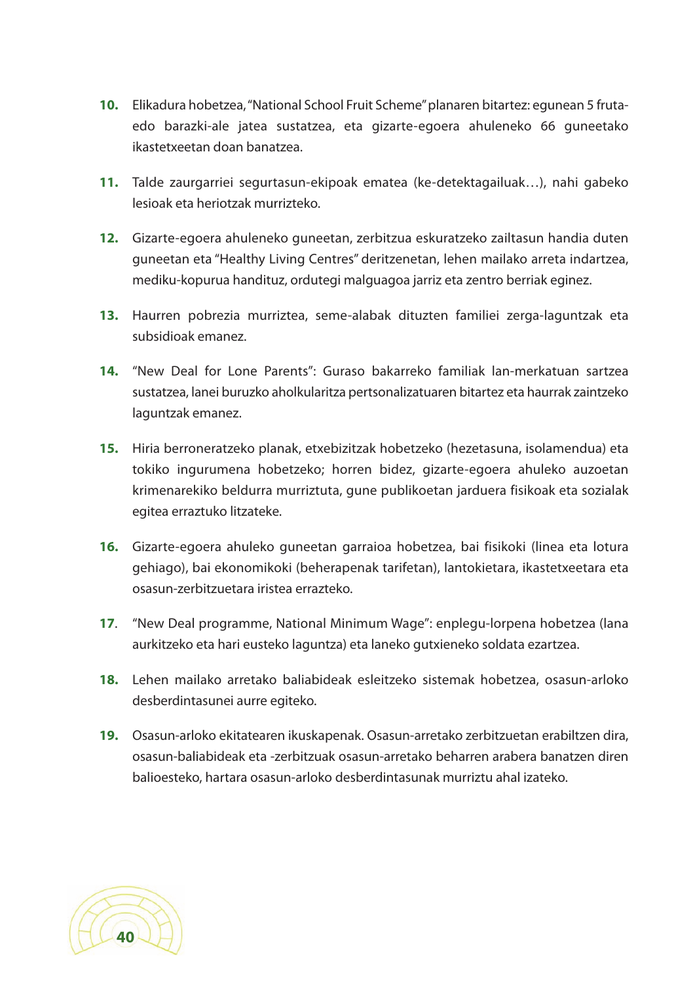- **10.** Elikadura hobetzea,"National School Fruit Scheme"planaren bitartez: egunean 5 frutaedo barazki-ale jatea sustatzea, eta gizarte-egoera ahuleneko 66 guneetako ikastetxeetan doan banatzea.
- **11.** Talde zaurgarriei segurtasun-ekipoak ematea (ke-detektagailuak…), nahi gabeko lesioak eta heriotzak murrizteko.
- **12.** Gizarte-egoera ahuleneko guneetan, zerbitzua eskuratzeko zailtasun handia duten guneetan eta "Healthy Living Centres" deritzenetan, lehen mailako arreta indartzea, mediku-kopurua handituz, ordutegi malguagoa jarriz eta zentro berriak eginez.
- **13.** Haurren pobrezia murriztea, seme-alabak dituzten familiei zerga-laguntzak eta subsidioak emanez.
- **14.** "New Deal for Lone Parents": Guraso bakarreko familiak lan-merkatuan sartzea sustatzea, lanei buruzko aholkularitza pertsonalizatuaren bitartez eta haurrak zaintzeko laguntzak emanez.
- **15.** Hiria berroneratzeko planak, etxebizitzak hobetzeko (hezetasuna, isolamendua) eta tokiko ingurumena hobetzeko; horren bidez, gizarte-egoera ahuleko auzoetan krimenarekiko beldurra murriztuta, gune publikoetan jarduera fisikoak eta sozialak egitea erraztuko litzateke.
- **16.** Gizarte-egoera ahuleko guneetan garraioa hobetzea, bai fisikoki (linea eta lotura gehiago), bai ekonomikoki (beherapenak tarifetan), lantokietara, ikastetxeetara eta osasun-zerbitzuetara iristea errazteko.
- **17**. "New Deal programme, National Minimum Wage": enplegu-lorpena hobetzea (lana aurkitzeko eta hari eusteko laguntza) eta laneko gutxieneko soldata ezartzea.
- **18.** Lehen mailako arretako baliabideak esleitzeko sistemak hobetzea, osasun-arloko desberdintasunei aurre egiteko.
- **19.** Osasun-arloko ekitatearen ikuskapenak. Osasun-arretako zerbitzuetan erabiltzen dira, osasun-baliabideak eta -zerbitzuak osasun-arretako beharren arabera banatzen diren balioesteko, hartara osasun-arloko desberdintasunak murriztu ahal izateko.